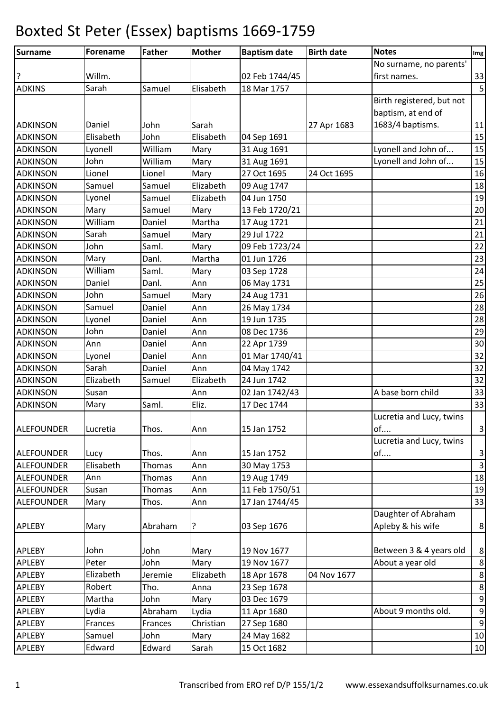| Surname           | <b>Forename</b> | <b>Father</b> | <b>Mother</b> | <b>Baptism date</b> | <b>Birth date</b> | <b>Notes</b>              | Img              |
|-------------------|-----------------|---------------|---------------|---------------------|-------------------|---------------------------|------------------|
|                   |                 |               |               |                     |                   | No surname, no parents'   |                  |
|                   | Willm.          |               |               | 02 Feb 1744/45      |                   | first names.              | 33               |
| <b>ADKINS</b>     | Sarah           | Samuel        | Elisabeth     | 18 Mar 1757         |                   |                           | $\overline{5}$   |
|                   |                 |               |               |                     |                   | Birth registered, but not |                  |
|                   |                 |               |               |                     |                   | baptism, at end of        |                  |
| <b>ADKINSON</b>   | Daniel          | John          | Sarah         |                     | 27 Apr 1683       | 1683/4 baptisms.          | 11               |
| <b>ADKINSON</b>   | Elisabeth       | John          | Elisabeth     | 04 Sep 1691         |                   |                           | 15               |
| <b>ADKINSON</b>   | Lyonell         | William       | Mary          | 31 Aug 1691         |                   | Lyonell and John of       | 15               |
| <b>ADKINSON</b>   | John            | William       | Mary          | 31 Aug 1691         |                   | Lyonell and John of       | 15               |
| <b>ADKINSON</b>   | Lionel          | Lionel        | Mary          | 27 Oct 1695         | 24 Oct 1695       |                           | 16               |
| <b>ADKINSON</b>   | Samuel          | Samuel        | Elizabeth     | 09 Aug 1747         |                   |                           | 18               |
| <b>ADKINSON</b>   | Lyonel          | Samuel        | Elizabeth     | 04 Jun 1750         |                   |                           | 19               |
| <b>ADKINSON</b>   | Mary            | Samuel        | Mary          | 13 Feb 1720/21      |                   |                           | 20               |
| <b>ADKINSON</b>   | William         | Daniel        | Martha        | 17 Aug 1721         |                   |                           | 21               |
| <b>ADKINSON</b>   | Sarah           | Samuel        | Mary          | 29 Jul 1722         |                   |                           | 21               |
| <b>ADKINSON</b>   | John            | Saml.         | Mary          | 09 Feb 1723/24      |                   |                           | 22               |
| <b>ADKINSON</b>   | Mary            | Danl.         | Martha        | 01 Jun 1726         |                   |                           | 23               |
| <b>ADKINSON</b>   | William         | Saml.         | Mary          | 03 Sep 1728         |                   |                           | 24               |
| <b>ADKINSON</b>   | Daniel          | Danl.         | Ann           | 06 May 1731         |                   |                           | 25               |
| <b>ADKINSON</b>   | John            | Samuel        | Mary          | 24 Aug 1731         |                   |                           | 26               |
| <b>ADKINSON</b>   | Samuel          | Daniel        | Ann           | 26 May 1734         |                   |                           | 28               |
| <b>ADKINSON</b>   | Lyonel          | Daniel        | Ann           | 19 Jun 1735         |                   |                           | 28               |
| <b>ADKINSON</b>   | John            | Daniel        | Ann           | 08 Dec 1736         |                   |                           | 29               |
| <b>ADKINSON</b>   | Ann             | Daniel        | Ann           | 22 Apr 1739         |                   |                           | 30               |
| <b>ADKINSON</b>   | Lyonel          | Daniel        | Ann           | 01 Mar 1740/41      |                   |                           | 32               |
| <b>ADKINSON</b>   | Sarah           | Daniel        | Ann           | 04 May 1742         |                   |                           | 32               |
| <b>ADKINSON</b>   | Elizabeth       | Samuel        | Elizabeth     | 24 Jun 1742         |                   |                           | 32               |
| <b>ADKINSON</b>   | Susan           |               | Ann           | 02 Jan 1742/43      |                   | A base born child         | 33               |
| <b>ADKINSON</b>   | Mary            | Saml.         | Eliz.         | 17 Dec 1744         |                   |                           | 33               |
|                   |                 |               |               |                     |                   | Lucretia and Lucy, twins  |                  |
| ALEFOUNDER        | Lucretia        | Thos.         | Ann           | 15 Jan 1752         |                   | of                        | $\mathbf{3}$     |
|                   |                 |               |               |                     |                   | Lucretia and Lucy, twins  |                  |
| ALEFOUNDER        | Lucy            | Thos.         | Ann           | 15 Jan 1752         |                   | of                        | $\mathbf{3}$     |
| <b>ALEFOUNDER</b> | Elisabeth       | Thomas        | Ann           | 30 May 1753         |                   |                           | $\overline{3}$   |
| <b>ALEFOUNDER</b> | Ann             | Thomas        | Ann           | 19 Aug 1749         |                   |                           | 18               |
| <b>ALEFOUNDER</b> | Susan           | Thomas        | Ann           | 11 Feb 1750/51      |                   |                           | 19               |
| <b>ALEFOUNDER</b> | Mary            | Thos.         | Ann           | 17 Jan 1744/45      |                   |                           | 33               |
|                   |                 |               |               |                     |                   | Daughter of Abraham       |                  |
| <b>APLEBY</b>     | Mary            | Abraham       | ?             | 03 Sep 1676         |                   | Apleby & his wife         | $\bf 8$          |
|                   |                 |               |               |                     |                   |                           |                  |
| <b>APLEBY</b>     | John            | John          | Mary          | 19 Nov 1677         |                   | Between 3 & 4 years old   | $\bf 8$          |
| <b>APLEBY</b>     | Peter           | John          | Mary          | 19 Nov 1677         |                   | About a year old          | $\bf 8$          |
| APLEBY            | Elizabeth       | Jeremie       | Elizabeth     | 18 Apr 1678         | 04 Nov 1677       |                           | $\bf 8$          |
| APLEBY            | Robert          | Tho.          | Anna          | 23 Sep 1678         |                   |                           | $\,8\,$          |
| <b>APLEBY</b>     | Martha          | John          | Mary          | 03 Dec 1679         |                   |                           | $\boldsymbol{9}$ |
| APLEBY            | Lydia           | Abraham       | Lydia         | 11 Apr 1680         |                   | About 9 months old.       | $\boldsymbol{9}$ |
| APLEBY            | Frances         | Frances       | Christian     | 27 Sep 1680         |                   |                           | $\boldsymbol{9}$ |
| APLEBY            | Samuel          | John          | Mary          | 24 May 1682         |                   |                           | 10               |
| APLEBY            | Edward          | Edward        | Sarah         | 15 Oct 1682         |                   |                           | 10               |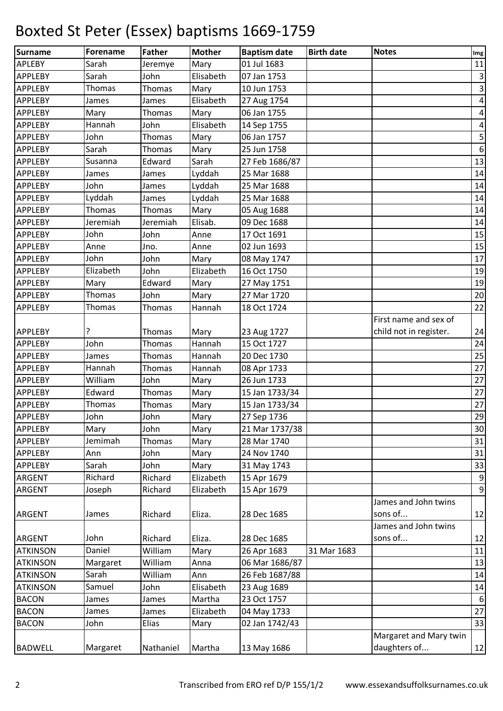| <b>Surname</b>  | <b>Forename</b> | <b>Father</b> | <b>Mother</b> | <b>Baptism date</b> | <b>Birth date</b> | <b>Notes</b>           | Img                     |
|-----------------|-----------------|---------------|---------------|---------------------|-------------------|------------------------|-------------------------|
| <b>APLEBY</b>   | Sarah           | Jeremye       | Mary          | 01 Jul 1683         |                   |                        | 11                      |
| <b>APPLEBY</b>  | Sarah           | John          | Elisabeth     | 07 Jan 1753         |                   |                        | $\overline{\mathbf{3}}$ |
| <b>APPLEBY</b>  | Thomas          | Thomas        | Mary          | 10 Jun 1753         |                   |                        | $\overline{3}$          |
| <b>APPLEBY</b>  | James           | James         | Elisabeth     | 27 Aug 1754         |                   |                        | $\pmb{4}$               |
| <b>APPLEBY</b>  | Mary            | Thomas        | Mary          | 06 Jan 1755         |                   |                        | $\vert 4 \vert$         |
| APPLEBY         | Hannah          | John          | Elisabeth     | 14 Sep 1755         |                   |                        | $\vert 4 \vert$         |
| <b>APPLEBY</b>  | John            | Thomas        | Mary          | 06 Jan 1757         |                   |                        | $\overline{\mathbf{5}}$ |
| <b>APPLEBY</b>  | Sarah           | Thomas        | Mary          | 25 Jun 1758         |                   |                        | $\boldsymbol{6}$        |
| <b>APPLEBY</b>  | Susanna         | Edward        | Sarah         | 27 Feb 1686/87      |                   |                        | 13                      |
| <b>APPLEBY</b>  | James           | James         | Lyddah        | 25 Mar 1688         |                   |                        | 14                      |
| <b>APPLEBY</b>  | John            | James         | Lyddah        | 25 Mar 1688         |                   |                        | 14                      |
| APPLEBY         | Lyddah          | James         | Lyddah        | 25 Mar 1688         |                   |                        | 14                      |
| <b>APPLEBY</b>  | Thomas          | Thomas        | Mary          | 05 Aug 1688         |                   |                        | 14                      |
| <b>APPLEBY</b>  | Jeremiah        | Jeremiah      | Elisab.       | 09 Dec 1688         |                   |                        | 14                      |
| <b>APPLEBY</b>  | John            | John          | Anne          | 17 Oct 1691         |                   |                        | 15                      |
| <b>APPLEBY</b>  | Anne            | Jno.          | Anne          | 02 Jun 1693         |                   |                        | 15                      |
| <b>APPLEBY</b>  | John            | John          | Mary          | 08 May 1747         |                   |                        | 17                      |
| <b>APPLEBY</b>  | Elizabeth       | John          | Elizabeth     | 16 Oct 1750         |                   |                        | 19                      |
| <b>APPLEBY</b>  | Mary            | Edward        | Mary          | 27 May 1751         |                   |                        | 19                      |
| <b>APPLEBY</b>  | Thomas          | John          | Mary          | 27 Mar 1720         |                   |                        | 20                      |
| <b>APPLEBY</b>  | Thomas          | Thomas        | Hannah        | 18 Oct 1724         |                   |                        | 22                      |
|                 |                 |               |               |                     |                   | First name and sex of  |                         |
| <b>APPLEBY</b>  | 7               | Thomas        | Mary          | 23 Aug 1727         |                   | child not in register. | 24                      |
| <b>APPLEBY</b>  | John            | Thomas        | Hannah        | 15 Oct 1727         |                   |                        | 24                      |
| <b>APPLEBY</b>  | James           | Thomas        | Hannah        | 20 Dec 1730         |                   |                        | 25                      |
| <b>APPLEBY</b>  | Hannah          | Thomas        | Hannah        | 08 Apr 1733         |                   |                        | 27                      |
| <b>APPLEBY</b>  | William         | John          | Mary          | 26 Jun 1733         |                   |                        | 27                      |
| <b>APPLEBY</b>  | Edward          | Thomas        | Mary          | 15 Jan 1733/34      |                   |                        | 27                      |
| <b>APPLEBY</b>  | Thomas          | Thomas        | Mary          | 15 Jan 1733/34      |                   |                        | 27                      |
| <b>APPLEBY</b>  | John            | John          | Mary          | 27 Sep 1736         |                   |                        | 29                      |
| <b>APPLEBY</b>  | Mary            | John          | Mary          | 21 Mar 1737/38      |                   |                        | 30                      |
| <b>APPLEBY</b>  | Jemimah         | Thomas        | Mary          | 28 Mar 1740         |                   |                        | 31                      |
| <b>APPLEBY</b>  | Ann             | John          | Mary          | 24 Nov 1740         |                   |                        | 31                      |
| <b>APPLEBY</b>  | Sarah           | John          | Mary          | 31 May 1743         |                   |                        | 33                      |
| <b>ARGENT</b>   | Richard         | Richard       | Elizabeth     | 15 Apr 1679         |                   |                        | $\overline{9}$          |
| <b>ARGENT</b>   | Joseph          | Richard       | Elizabeth     | 15 Apr 1679         |                   |                        | $\overline{9}$          |
|                 |                 |               |               |                     |                   | James and John twins   |                         |
| <b>ARGENT</b>   | James           | Richard       | Eliza.        | 28 Dec 1685         |                   | sons of                | 12                      |
|                 |                 |               |               |                     |                   | James and John twins   |                         |
| <b>ARGENT</b>   | John            | Richard       | Eliza.        | 28 Dec 1685         |                   | sons of                | 12                      |
| <b>ATKINSON</b> | Daniel          | William       | Mary          | 26 Apr 1683         | 31 Mar 1683       |                        | 11                      |
| <b>ATKINSON</b> | Margaret        | William       | Anna          | 06 Mar 1686/87      |                   |                        | 13                      |
| <b>ATKINSON</b> | Sarah           | William       | Ann           | 26 Feb 1687/88      |                   |                        | 14                      |
| <b>ATKINSON</b> | Samuel          | John          | Elisabeth     | 23 Aug 1689         |                   |                        | 14                      |
| <b>BACON</b>    | James           | James         | Martha        | 23 Oct 1757         |                   |                        | $\boldsymbol{6}$        |
| <b>BACON</b>    | James           | James         | Elizabeth     | 04 May 1733         |                   |                        | 27                      |
| <b>BACON</b>    | John            | Elias         | Mary          | 02 Jan 1742/43      |                   |                        | 33                      |
|                 |                 |               |               |                     |                   | Margaret and Mary twin |                         |
| <b>BADWELL</b>  | Margaret        | Nathaniel     | Martha        | 13 May 1686         |                   | daughters of           | 12                      |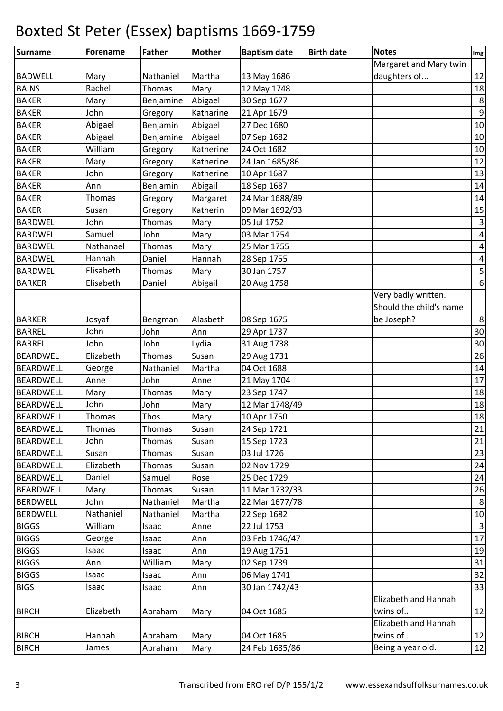| Surname          | Forename  | Father        | <b>Mother</b> | <b>Baptism date</b> | <b>Birth date</b> | <b>Notes</b>            | Img              |
|------------------|-----------|---------------|---------------|---------------------|-------------------|-------------------------|------------------|
|                  |           |               |               |                     |                   | Margaret and Mary twin  |                  |
| <b>BADWELL</b>   | Mary      | Nathaniel     | Martha        | 13 May 1686         |                   | daughters of            | 12               |
| <b>BAINS</b>     | Rachel    | Thomas        | Mary          | 12 May 1748         |                   |                         | 18               |
| <b>BAKER</b>     | Mary      | Benjamine     | Abigael       | 30 Sep 1677         |                   |                         | $\,8\,$          |
| <b>BAKER</b>     | John      | Gregory       | Katharine     | 21 Apr 1679         |                   |                         | $\boldsymbol{9}$ |
| <b>BAKER</b>     | Abigael   | Benjamin      | Abigael       | 27 Dec 1680         |                   |                         | 10               |
| <b>BAKER</b>     | Abigael   | Benjamine     | Abigael       | 07 Sep 1682         |                   |                         | 10               |
| <b>BAKER</b>     | William   | Gregory       | Katherine     | 24 Oct 1682         |                   |                         | $10\,$           |
| <b>BAKER</b>     | Mary      | Gregory       | Katherine     | 24 Jan 1685/86      |                   |                         | 12               |
| <b>BAKER</b>     | John      | Gregory       | Katherine     | 10 Apr 1687         |                   |                         | 13               |
| <b>BAKER</b>     | Ann       | Benjamin      | Abigail       | 18 Sep 1687         |                   |                         | 14               |
| <b>BAKER</b>     | Thomas    | Gregory       | Margaret      | 24 Mar 1688/89      |                   |                         | 14               |
| <b>BAKER</b>     | Susan     | Gregory       | Katherin      | 09 Mar 1692/93      |                   |                         | 15               |
| <b>BARDWEL</b>   | John      | Thomas        | Mary          | 05 Jul 1752         |                   |                         | $\mathbf{3}$     |
| <b>BARDWEL</b>   | Samuel    | John          | Mary          | 03 Mar 1754         |                   |                         | $\vert 4 \vert$  |
| <b>BARDWEL</b>   | Nathanael | Thomas        | Mary          | 25 Mar 1755         |                   |                         | $\pmb{4}$        |
| <b>BARDWEL</b>   | Hannah    | Daniel        | Hannah        | 28 Sep 1755         |                   |                         | $\pmb{4}$        |
| <b>BARDWEL</b>   | Elisabeth | Thomas        | Mary          | 30 Jan 1757         |                   |                         | $\sf 5$          |
| <b>BARKER</b>    | Elisabeth | Daniel        | Abigail       | 20 Aug 1758         |                   |                         | $\boldsymbol{6}$ |
|                  |           |               |               |                     |                   | Very badly written.     |                  |
|                  |           |               |               |                     |                   | Should the child's name |                  |
| <b>BARKER</b>    | Josyaf    | Bengman       | Alasbeth      | 08 Sep 1675         |                   | be Joseph?              | $\bf 8$          |
| <b>BARREL</b>    | John      | John          | Ann           | 29 Apr 1737         |                   |                         | 30               |
| <b>BARREL</b>    | John      | John          | Lydia         | 31 Aug 1738         |                   |                         | 30               |
| <b>BEARDWEL</b>  | Elizabeth | Thomas        | Susan         | 29 Aug 1731         |                   |                         | 26               |
| <b>BEARDWELL</b> | George    | Nathaniel     | Martha        | 04 Oct 1688         |                   |                         | 14               |
| <b>BEARDWELL</b> | Anne      | John          | Anne          | 21 May 1704         |                   |                         | 17               |
| <b>BEARDWELL</b> | Mary      | Thomas        | Mary          | 23 Sep 1747         |                   |                         | 18               |
| <b>BEARDWELL</b> | John      | John          | Mary          | 12 Mar 1748/49      |                   |                         | 18               |
| <b>BEARDWELL</b> | Thomas    | Thos.         | Mary          | 10 Apr 1750         |                   |                         | 18               |
| <b>BEARDWELL</b> | Thomas    | Thomas        | Susan         | 24 Sep 1721         |                   |                         | 21               |
| <b>BEARDWELL</b> | John      | Thomas        | Susan         | 15 Sep 1723         |                   |                         | 21               |
| <b>BEARDWELL</b> | Susan     | Thomas        | Susan         | 03 Jul 1726         |                   |                         | 23               |
| <b>BEARDWELL</b> | Elizabeth | <b>Thomas</b> | Susan         | 02 Nov 1729         |                   |                         | 24               |
| <b>BEARDWELL</b> | Daniel    | Samuel        | Rose          | 25 Dec 1729         |                   |                         | 24               |
| <b>BEARDWELL</b> | Mary      | Thomas        | Susan         | 11 Mar 1732/33      |                   |                         | 26               |
| <b>BERDWELL</b>  | John      | Nathaniel     | Martha        | 22 Mar 1677/78      |                   |                         | 8                |
| <b>BERDWELL</b>  | Nathaniel | Nathaniel     | Martha        | 22 Sep 1682         |                   |                         | 10               |
| <b>BIGGS</b>     | William   | Isaac         | Anne          | 22 Jul 1753         |                   |                         | $\overline{3}$   |
| <b>BIGGS</b>     | George    | Isaac         | Ann           | 03 Feb 1746/47      |                   |                         | 17               |
| <b>BIGGS</b>     | Isaac     | Isaac         | Ann           | 19 Aug 1751         |                   |                         | 19               |
| <b>BIGGS</b>     | Ann       | William       | Mary          | 02 Sep 1739         |                   |                         | 31               |
| <b>BIGGS</b>     | Isaac     | Isaac         | Ann           | 06 May 1741         |                   |                         | 32               |
| <b>BIGS</b>      | Isaac     | Isaac         | Ann           | 30 Jan 1742/43      |                   |                         | 33               |
|                  |           |               |               |                     |                   | Elizabeth and Hannah    |                  |
| <b>BIRCH</b>     | Elizabeth | Abraham       | Mary          | 04 Oct 1685         |                   | twins of                | 12               |
|                  |           |               |               |                     |                   | Elizabeth and Hannah    |                  |
| <b>BIRCH</b>     | Hannah    | Abraham       | Mary          | 04 Oct 1685         |                   | twins of                | 12               |
| <b>BIRCH</b>     | James     | Abraham       | Mary          | 24 Feb 1685/86      |                   | Being a year old.       | 12               |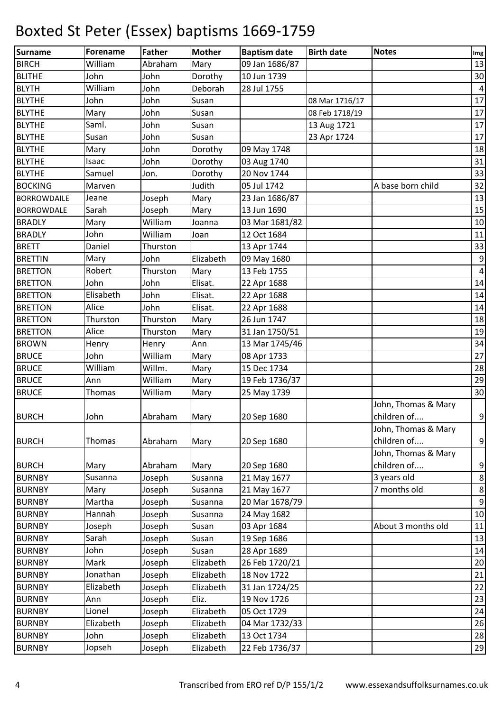| Surname            | <b>Forename</b> | Father   | <b>Mother</b> | <b>Baptism date</b> | <b>Birth date</b> | <b>Notes</b>        | $\mathop{\textsf{Img}}$ |
|--------------------|-----------------|----------|---------------|---------------------|-------------------|---------------------|-------------------------|
| <b>BIRCH</b>       | William         | Abraham  | Mary          | 09 Jan 1686/87      |                   |                     | 13                      |
| <b>BLITHE</b>      | John            | John     | Dorothy       | 10 Jun 1739         |                   |                     | 30                      |
| <b>BLYTH</b>       | William         | John     | Deborah       | 28 Jul 1755         |                   |                     | $\pmb{4}$               |
| <b>BLYTHE</b>      | John            | John     | Susan         |                     | 08 Mar 1716/17    |                     | 17                      |
| <b>BLYTHE</b>      | Mary            | John     | Susan         |                     | 08 Feb 1718/19    |                     | $17\,$                  |
| <b>BLYTHE</b>      | Saml.           | John     | Susan         |                     | 13 Aug 1721       |                     | $17\,$                  |
| <b>BLYTHE</b>      | Susan           | John     | Susan         |                     | 23 Apr 1724       |                     | 17                      |
| <b>BLYTHE</b>      | Mary            | John     | Dorothy       | 09 May 1748         |                   |                     | 18                      |
| <b>BLYTHE</b>      | Isaac           | John     | Dorothy       | 03 Aug 1740         |                   |                     | 31                      |
| <b>BLYTHE</b>      | Samuel          | Jon.     | Dorothy       | 20 Nov 1744         |                   |                     | 33                      |
| <b>BOCKING</b>     | Marven          |          | Judith        | 05 Jul 1742         |                   | A base born child   | 32                      |
| <b>BORROWDAILE</b> | Jeane           | Joseph   | Mary          | 23 Jan 1686/87      |                   |                     | 13                      |
| <b>BORROWDALE</b>  | Sarah           | Joseph   | Mary          | 13 Jun 1690         |                   |                     | 15                      |
| <b>BRADLY</b>      | Mary            | William  | Joanna        | 03 Mar 1681/82      |                   |                     | 10                      |
| <b>BRADLY</b>      | John            | William  | Joan          | 12 Oct 1684         |                   |                     | 11                      |
| <b>BRETT</b>       | Daniel          | Thurston |               | 13 Apr 1744         |                   |                     | 33                      |
| <b>BRETTIN</b>     | Mary            | John     | Elizabeth     | 09 May 1680         |                   |                     | $\boldsymbol{9}$        |
| <b>BRETTON</b>     | Robert          | Thurston | Mary          | 13 Feb 1755         |                   |                     | $\vert 4 \vert$         |
| <b>BRETTON</b>     | John            | John     | Elisat.       | 22 Apr 1688         |                   |                     | 14                      |
| <b>BRETTON</b>     | Elisabeth       | John     | Elisat.       | 22 Apr 1688         |                   |                     | 14                      |
| <b>BRETTON</b>     | Alice           | John     | Elisat.       | 22 Apr 1688         |                   |                     | 14                      |
| <b>BRETTON</b>     | Thurston        | Thurston | Mary          | 26 Jun 1747         |                   |                     | 18                      |
| <b>BRETTON</b>     | Alice           | Thurston | Mary          | 31 Jan 1750/51      |                   |                     | 19                      |
| <b>BROWN</b>       | Henry           | Henry    | Ann           | 13 Mar 1745/46      |                   |                     | 34                      |
| <b>BRUCE</b>       | John            | William  | Mary          | 08 Apr 1733         |                   |                     | 27                      |
| <b>BRUCE</b>       | William         | Willm.   | Mary          | 15 Dec 1734         |                   |                     | 28                      |
| <b>BRUCE</b>       | Ann             | William  | Mary          | 19 Feb 1736/37      |                   |                     | 29                      |
| <b>BRUCE</b>       | Thomas          | William  | Mary          | 25 May 1739         |                   |                     | 30                      |
|                    |                 |          |               |                     |                   | John, Thomas & Mary |                         |
| <b>BURCH</b>       | John            | Abraham  | Mary          | 20 Sep 1680         |                   | children of         | $\boldsymbol{9}$        |
|                    |                 |          |               |                     |                   | John, Thomas & Mary |                         |
| <b>BURCH</b>       | Thomas          | Abraham  | Mary          | 20 Sep 1680         |                   | children of         | $\overline{9}$          |
|                    |                 |          |               |                     |                   | John, Thomas & Mary |                         |
| <b>BURCH</b>       | Mary            | Abraham  | Mary          | 20 Sep 1680         |                   | children of         | $\boldsymbol{9}$        |
| <b>BURNBY</b>      | Susanna         | Joseph   | Susanna       | 21 May 1677         |                   | 3 years old         | $\boldsymbol{8}$        |
| <b>BURNBY</b>      | Mary            | Joseph   | Susanna       | 21 May 1677         |                   | 7 months old        | $\bf 8$                 |
| <b>BURNBY</b>      | Martha          | Joseph   | Susanna       | 20 Mar 1678/79      |                   |                     | $\boldsymbol{9}$        |
| <b>BURNBY</b>      | Hannah          | Joseph   | Susanna       | 24 May 1682         |                   |                     | 10                      |
| <b>BURNBY</b>      | Joseph          | Joseph   | Susan         | 03 Apr 1684         |                   | About 3 months old  | 11                      |
| <b>BURNBY</b>      | Sarah           | Joseph   | Susan         | 19 Sep 1686         |                   |                     | 13                      |
| <b>BURNBY</b>      | John            | Joseph   | Susan         | 28 Apr 1689         |                   |                     | 14                      |
| <b>BURNBY</b>      | Mark            | Joseph   | Elizabeth     | 26 Feb 1720/21      |                   |                     | 20                      |
| <b>BURNBY</b>      | Jonathan        | Joseph   | Elizabeth     | 18 Nov 1722         |                   |                     | 21                      |
| <b>BURNBY</b>      | Elizabeth       | Joseph   | Elizabeth     | 31 Jan 1724/25      |                   |                     | 22                      |
| <b>BURNBY</b>      | Ann             | Joseph   | Eliz.         | 19 Nov 1726         |                   |                     | 23                      |
| <b>BURNBY</b>      | Lionel          | Joseph   | Elizabeth     | 05 Oct 1729         |                   |                     | 24                      |
| <b>BURNBY</b>      | Elizabeth       | Joseph   | Elizabeth     | 04 Mar 1732/33      |                   |                     | 26                      |
| <b>BURNBY</b>      | John            | Joseph   | Elizabeth     | 13 Oct 1734         |                   |                     | 28                      |
| <b>BURNBY</b>      | Jopseh          | Joseph   | Elizabeth     | 22 Feb 1736/37      |                   |                     | 29                      |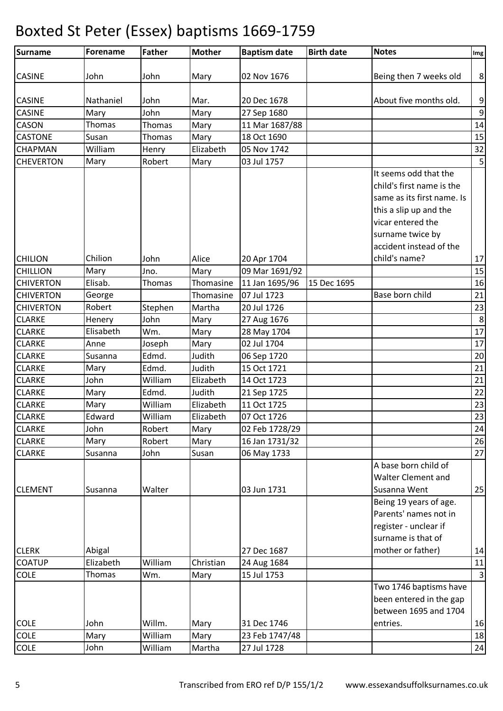| Surname                           | Forename            | <b>Father</b>   | <b>Mother</b>     | <b>Baptism date</b>           | <b>Birth date</b> | <b>Notes</b>               | Img                     |
|-----------------------------------|---------------------|-----------------|-------------------|-------------------------------|-------------------|----------------------------|-------------------------|
| <b>CASINE</b>                     | John                | John            | Mary              | 02 Nov 1676                   |                   | Being then 7 weeks old     | 8 <sup>°</sup>          |
| <b>CASINE</b>                     | Nathaniel           | John            | Mar.              | 20 Dec 1678                   |                   | About five months old.     | 9                       |
| CASINE                            | Mary                | John            | Mary              | 27 Sep 1680                   |                   |                            | $\overline{9}$          |
| CASON                             | Thomas              | Thomas          | Mary              | 11 Mar 1687/88                |                   |                            | 14                      |
| <b>CASTONE</b>                    | Susan               | Thomas          | Mary              | 18 Oct 1690                   |                   |                            | 15                      |
| CHAPMAN                           | William             | Henry           | Elizabeth         | 05 Nov 1742                   |                   |                            | 32                      |
| <b>CHEVERTON</b>                  | Mary                | Robert          | Mary              | 03 Jul 1757                   |                   |                            | 5                       |
|                                   |                     |                 |                   |                               |                   | It seems odd that the      |                         |
|                                   |                     |                 |                   |                               |                   | child's first name is the  |                         |
|                                   |                     |                 |                   |                               |                   | same as its first name. Is |                         |
|                                   |                     |                 |                   |                               |                   | this a slip up and the     |                         |
|                                   |                     |                 |                   |                               |                   | vicar entered the          |                         |
|                                   |                     |                 |                   |                               |                   | surname twice by           |                         |
|                                   |                     |                 |                   |                               |                   | accident instead of the    |                         |
| <b>CHILION</b>                    | Chilion             | John            | Alice             | 20 Apr 1704                   |                   | child's name?              |                         |
| <b>CHILLION</b>                   | Mary                | Jno.            |                   | 09 Mar 1691/92                |                   |                            | 17<br>15                |
| <b>CHIVERTON</b>                  | Elisab.             |                 | Mary<br>Thomasine |                               | 15 Dec 1695       |                            |                         |
| <b>CHIVERTON</b>                  |                     | Thomas          | Thomasine         | 11 Jan 1695/96<br>07 Jul 1723 |                   | Base born child            | 16<br>21                |
|                                   | George<br>Robert    |                 |                   |                               |                   |                            |                         |
| <b>CHIVERTON</b><br><b>CLARKE</b> |                     | Stephen<br>John | Martha            | 20 Jul 1726                   |                   |                            | 23<br>8                 |
|                                   | Henery<br>Elisabeth |                 | Mary              | 27 Aug 1676                   |                   |                            | 17                      |
| <b>CLARKE</b>                     |                     | Wm.             | Mary              | 28 May 1704                   |                   |                            |                         |
| <b>CLARKE</b><br><b>CLARKE</b>    | Anne                | Joseph          | Mary              | 02 Jul 1704                   |                   |                            | 17                      |
|                                   | Susanna             | Edmd.           | Judith            | 06 Sep 1720                   |                   |                            | 20                      |
| <b>CLARKE</b>                     | Mary                | Edmd.           | Judith            | 15 Oct 1721                   |                   |                            | 21                      |
| <b>CLARKE</b>                     | John                | William         | Elizabeth         | 14 Oct 1723                   |                   |                            | 21                      |
| <b>CLARKE</b>                     | Mary                | Edmd.           | Judith            | 21 Sep 1725                   |                   |                            | 22                      |
| <b>CLARKE</b>                     | Mary                | William         | Elizabeth         | 11 Oct 1725                   |                   |                            | 23                      |
| <b>CLARKE</b>                     | Edward              | William         | Elizabeth         | 07 Oct 1726                   |                   |                            | 23                      |
| <b>CLARKE</b>                     | John                | Robert          | Mary              | 02 Feb 1728/29                |                   |                            | 24                      |
| <b>CLARKE</b>                     | Mary                | Robert          | Mary              | 16 Jan 1731/32                |                   |                            | 26                      |
| <b>CLARKE</b>                     | Susanna             | John            | Susan             | 06 May 1733                   |                   |                            | 27                      |
|                                   |                     |                 |                   |                               |                   | A base born child of       |                         |
|                                   |                     |                 |                   |                               |                   | Walter Clement and         |                         |
| <b>CLEMENT</b>                    | Susanna             | Walter          |                   | 03 Jun 1731                   |                   | Susanna Went               | 25                      |
|                                   |                     |                 |                   |                               |                   | Being 19 years of age.     |                         |
|                                   |                     |                 |                   |                               |                   | Parents' names not in      |                         |
|                                   |                     |                 |                   |                               |                   | register - unclear if      |                         |
|                                   |                     |                 |                   |                               |                   | surname is that of         |                         |
| <b>CLERK</b>                      | Abigal              |                 |                   | 27 Dec 1687                   |                   | mother or father)          | 14                      |
| <b>COATUP</b>                     | Elizabeth           | William         | Christian         | 24 Aug 1684                   |                   |                            | $11\,$                  |
| <b>COLE</b>                       | Thomas              | Wm.             | Mary              | 15 Jul 1753                   |                   |                            | $\overline{\mathbf{3}}$ |
|                                   |                     |                 |                   |                               |                   | Two 1746 baptisms have     |                         |
|                                   |                     |                 |                   |                               |                   | been entered in the gap    |                         |
|                                   |                     |                 |                   |                               |                   | between 1695 and 1704      |                         |
| <b>COLE</b>                       | John                | Willm.          | Mary              | 31 Dec 1746                   |                   | entries.                   | 16                      |
| <b>COLE</b>                       | Mary                | William         | Mary              | 23 Feb 1747/48                |                   |                            | 18                      |
| <b>COLE</b>                       | John                | William         | Martha            | 27 Jul 1728                   |                   |                            | 24                      |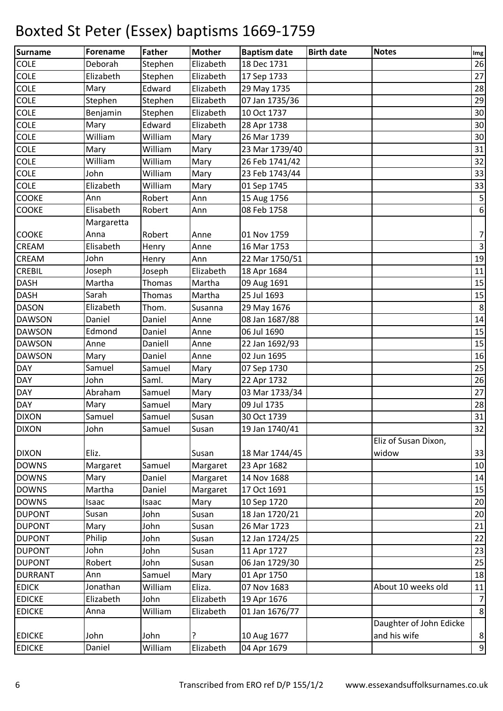| Surname        | <b>Forename</b> | <b>Father</b> | Mother    | <b>Baptism date</b> | <b>Birth date</b> | <b>Notes</b>            | Im <sub>g</sub>         |
|----------------|-----------------|---------------|-----------|---------------------|-------------------|-------------------------|-------------------------|
| <b>COLE</b>    | Deborah         | Stephen       | Elizabeth | 18 Dec 1731         |                   |                         | 26                      |
| <b>COLE</b>    | Elizabeth       | Stephen       | Elizabeth | 17 Sep 1733         |                   |                         | 27                      |
| COLE           | Mary            | Edward        | Elizabeth | 29 May 1735         |                   |                         | 28                      |
| COLE           | Stephen         | Stephen       | Elizabeth | 07 Jan 1735/36      |                   |                         | 29                      |
| COLE           | Benjamin        | Stephen       | Elizabeth | 10 Oct 1737         |                   |                         | 30                      |
| <b>COLE</b>    | Mary            | Edward        | Elizabeth | 28 Apr 1738         |                   |                         | 30                      |
| COLE           | William         | William       | Mary      | 26 Mar 1739         |                   |                         | 30                      |
| COLE           | Mary            | William       | Mary      | 23 Mar 1739/40      |                   |                         | 31                      |
| COLE           | William         | William       | Mary      | 26 Feb 1741/42      |                   |                         | 32                      |
| COLE           | John            | William       | Mary      | 23 Feb 1743/44      |                   |                         | 33                      |
| <b>COLE</b>    | Elizabeth       | William       | Mary      | 01 Sep 1745         |                   |                         | 33                      |
| COOKE          | Ann             | Robert        | Ann       | 15 Aug 1756         |                   |                         | $\overline{\mathbf{5}}$ |
| <b>COOKE</b>   | Elisabeth       | Robert        | Ann       | 08 Feb 1758         |                   |                         | $\boldsymbol{6}$        |
|                | Margaretta      |               |           |                     |                   |                         |                         |
| <b>COOKE</b>   | Anna            | Robert        | Anne      | 01 Nov 1759         |                   |                         | $\overline{7}$          |
| CREAM          | Elisabeth       | Henry         | Anne      | 16 Mar 1753         |                   |                         | $\overline{\mathbf{3}}$ |
| CREAM          | John            | Henry         | Ann       | 22 Mar 1750/51      |                   |                         | 19                      |
| <b>CREBIL</b>  | Joseph          | Joseph        | Elizabeth | 18 Apr 1684         |                   |                         | 11                      |
| <b>DASH</b>    | Martha          | Thomas        | Martha    | 09 Aug 1691         |                   |                         | 15                      |
| <b>DASH</b>    | Sarah           | Thomas        | Martha    | 25 Jul 1693         |                   |                         | 15                      |
| <b>DASON</b>   | Elizabeth       | Thom.         | Susanna   | 29 May 1676         |                   |                         | $\bf 8$                 |
| <b>DAWSON</b>  | Daniel          | Daniel        | Anne      | 08 Jan 1687/88      |                   |                         | 14                      |
| <b>DAWSON</b>  | Edmond          | Daniel        | Anne      | 06 Jul 1690         |                   |                         | 15                      |
| <b>DAWSON</b>  | Anne            | Daniell       | Anne      | 22 Jan 1692/93      |                   |                         | 15                      |
| <b>DAWSON</b>  | Mary            | Daniel        | Anne      | 02 Jun 1695         |                   |                         | 16                      |
| <b>DAY</b>     | Samuel          | Samuel        | Mary      | 07 Sep 1730         |                   |                         | 25                      |
| DAY            | John            | Saml.         | Mary      | 22 Apr 1732         |                   |                         | 26                      |
| <b>DAY</b>     | Abraham         | Samuel        | Mary      | 03 Mar 1733/34      |                   |                         | 27                      |
| <b>DAY</b>     | Mary            | Samuel        | Mary      | 09 Jul 1735         |                   |                         | 28                      |
| <b>DIXON</b>   | Samuel          | Samuel        | Susan     | 30 Oct 1739         |                   |                         | 31                      |
| <b>DIXON</b>   | John            | Samuel        | Susan     | 19 Jan 1740/41      |                   |                         | 32                      |
|                |                 |               |           |                     |                   | Eliz of Susan Dixon,    |                         |
| <b>DIXON</b>   | Eliz.           |               | Susan     | 18 Mar 1744/45      |                   | widow                   | 33                      |
| <b>DOWNS</b>   | Margaret        | Samuel        | Margaret  | 23 Apr 1682         |                   |                         | 10                      |
| <b>DOWNS</b>   | Mary            | Daniel        | Margaret  | 14 Nov 1688         |                   |                         | 14                      |
| <b>DOWNS</b>   | Martha          | Daniel        | Margaret  | 17 Oct 1691         |                   |                         | 15                      |
| <b>DOWNS</b>   | Isaac           | Isaac         | Mary      | 10 Sep 1720         |                   |                         | 20                      |
| <b>DUPONT</b>  | Susan           | John          | Susan     | 18 Jan 1720/21      |                   |                         | 20                      |
| <b>DUPONT</b>  | Mary            | John          | Susan     | 26 Mar 1723         |                   |                         | 21                      |
| <b>DUPONT</b>  | Philip          | John          | Susan     | 12 Jan 1724/25      |                   |                         | 22                      |
| <b>DUPONT</b>  | John            | John          | Susan     | 11 Apr 1727         |                   |                         | 23                      |
| <b>DUPONT</b>  | Robert          | John          | Susan     | 06 Jan 1729/30      |                   |                         | 25                      |
| <b>DURRANT</b> | Ann             | Samuel        | Mary      | 01 Apr 1750         |                   |                         | 18                      |
| <b>EDICK</b>   | Jonathan        | William       | Eliza.    | 07 Nov 1683         |                   | About 10 weeks old      | 11                      |
| <b>EDICKE</b>  | Elizabeth       | John          | Elizabeth | 19 Apr 1676         |                   |                         | $\overline{7}$          |
| <b>EDICKE</b>  | Anna            | William       | Elizabeth | 01 Jan 1676/77      |                   |                         | 8                       |
|                |                 |               |           |                     |                   | Daughter of John Edicke |                         |
| <b>EDICKE</b>  | John            | John          | ç         | 10 Aug 1677         |                   | and his wife            | $\bf 8$                 |
| <b>EDICKE</b>  | Daniel          | William       | Elizabeth | 04 Apr 1679         |                   |                         | $\overline{9}$          |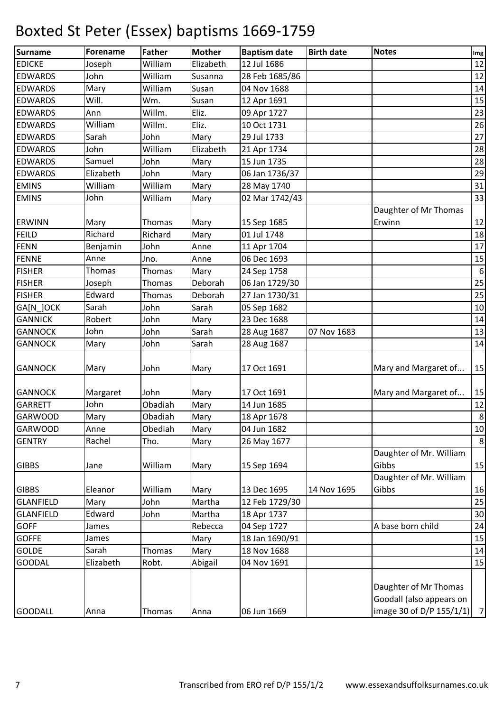| <b>Surname</b>   | Forename  | <b>Father</b> | <b>Mother</b> | <b>Baptism date</b> | <b>Birth date</b> | <b>Notes</b>                                                                  | Im <sub>g</sub>  |
|------------------|-----------|---------------|---------------|---------------------|-------------------|-------------------------------------------------------------------------------|------------------|
| <b>EDICKE</b>    | Joseph    | William       | Elizabeth     | 12 Jul 1686         |                   |                                                                               | 12               |
| <b>EDWARDS</b>   | John      | William       | Susanna       | 28 Feb 1685/86      |                   |                                                                               | 12               |
| <b>EDWARDS</b>   | Mary      | William       | Susan         | 04 Nov 1688         |                   |                                                                               | 14               |
| <b>EDWARDS</b>   | Will.     | Wm.           | Susan         | 12 Apr 1691         |                   |                                                                               | 15               |
| <b>EDWARDS</b>   | Ann       | Willm.        | Eliz.         | 09 Apr 1727         |                   |                                                                               | 23               |
| <b>EDWARDS</b>   | William   | Willm.        | Eliz.         | 10 Oct 1731         |                   |                                                                               | 26               |
| <b>EDWARDS</b>   | Sarah     | John          | Mary          | 29 Jul 1733         |                   |                                                                               | 27               |
| <b>EDWARDS</b>   | John      | William       | Elizabeth     | 21 Apr 1734         |                   |                                                                               | 28               |
| <b>EDWARDS</b>   | Samuel    | John          | Mary          | 15 Jun 1735         |                   |                                                                               | 28               |
| <b>EDWARDS</b>   | Elizabeth | John          | Mary          | 06 Jan 1736/37      |                   |                                                                               | 29               |
| <b>EMINS</b>     | William   | William       | Mary          | 28 May 1740         |                   |                                                                               | 31               |
| <b>EMINS</b>     | John      | William       | Mary          | 02 Mar 1742/43      |                   |                                                                               | 33               |
|                  |           |               |               |                     |                   | Daughter of Mr Thomas                                                         |                  |
| <b>ERWINN</b>    | Mary      | Thomas        | Mary          | 15 Sep 1685         |                   | Erwinn                                                                        | 12               |
| <b>FEILD</b>     | Richard   | Richard       | Mary          | 01 Jul 1748         |                   |                                                                               | 18               |
| <b>FENN</b>      | Benjamin  | John          | Anne          | 11 Apr 1704         |                   |                                                                               | 17               |
| <b>FENNE</b>     | Anne      | Jno.          | Anne          | 06 Dec 1693         |                   |                                                                               | 15               |
| <b>FISHER</b>    | Thomas    | Thomas        | Mary          | 24 Sep 1758         |                   |                                                                               | $6 \overline{6}$ |
| <b>FISHER</b>    | Joseph    | Thomas        | Deborah       | 06 Jan 1729/30      |                   |                                                                               | 25               |
| <b>FISHER</b>    | Edward    | Thomas        | Deborah       | 27 Jan 1730/31      |                   |                                                                               | 25               |
| GA[N_]OCK        | Sarah     | John          | Sarah         | 05 Sep 1682         |                   |                                                                               | 10               |
| <b>GANNICK</b>   | Robert    | John          | Mary          | 23 Dec 1688         |                   |                                                                               | 14               |
| <b>GANNOCK</b>   | John      | John          | Sarah         | 28 Aug 1687         | 07 Nov 1683       |                                                                               | 13               |
| <b>GANNOCK</b>   | Mary      | John          | Sarah         | 28 Aug 1687         |                   |                                                                               | 14               |
| <b>GANNOCK</b>   | Mary      | John          | Mary          | 17 Oct 1691         |                   | Mary and Margaret of                                                          | 15               |
| <b>GANNOCK</b>   | Margaret  | John          | Mary          | 17 Oct 1691         |                   | Mary and Margaret of                                                          | 15               |
| <b>GARRETT</b>   | John      | Obadiah       | Mary          | 14 Jun 1685         |                   |                                                                               | 12               |
| <b>GARWOOD</b>   | Mary      | Obadiah       | Mary          | 18 Apr 1678         |                   |                                                                               | 8 <sup>1</sup>   |
| <b>GARWOOD</b>   | Anne      | Obediah       | Mary          | 04 Jun 1682         |                   |                                                                               | 10               |
| <b>GENTRY</b>    | Rachel    | Tho.          | Mary          | 26 May 1677         |                   |                                                                               | 8 <sup>°</sup>   |
| <b>GIBBS</b>     | Jane      | William       | Mary          | 15 Sep 1694         |                   | Daughter of Mr. William<br>Gibbs                                              | 15               |
|                  |           |               |               |                     |                   | Daughter of Mr. William                                                       |                  |
| <b>GIBBS</b>     | Eleanor   | William       | Mary          | 13 Dec 1695         | 14 Nov 1695       | Gibbs                                                                         | 16               |
| <b>GLANFIELD</b> | Mary      | John          | Martha        | 12 Feb 1729/30      |                   |                                                                               | 25               |
| <b>GLANFIELD</b> | Edward    | John          | Martha        | 18 Apr 1737         |                   |                                                                               | 30               |
| <b>GOFF</b>      | James     |               | Rebecca       | 04 Sep 1727         |                   | A base born child                                                             | 24               |
| <b>GOFFE</b>     | James     |               | Mary          | 18 Jan 1690/91      |                   |                                                                               | 15               |
| <b>GOLDE</b>     | Sarah     | Thomas        | Mary          | 18 Nov 1688         |                   |                                                                               | 14               |
| <b>GOODAL</b>    | Elizabeth | Robt.         | Abigail       | 04 Nov 1691         |                   |                                                                               | 15               |
| <b>GOODALL</b>   | Anna      | Thomas        | Anna          | 06 Jun 1669         |                   | Daughter of Mr Thomas<br>Goodall (also appears on<br>image 30 of D/P 155/1/1) | 7                |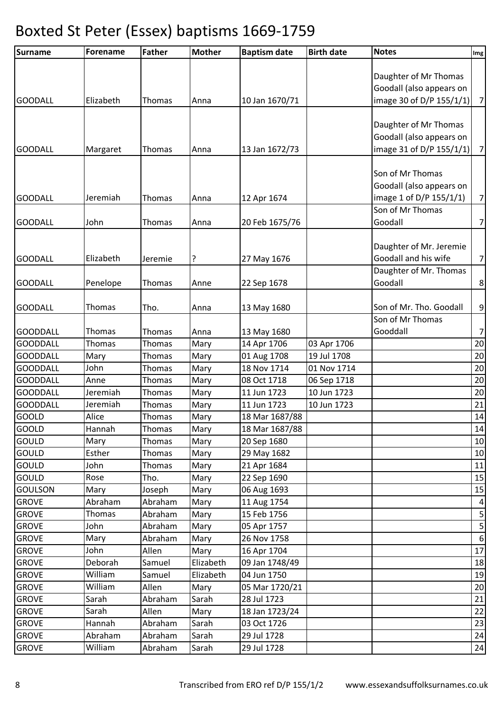| Surname                            | <b>Forename</b> | <b>Father</b>    | <b>Mother</b> | <b>Baptism date</b>        | <b>Birth date</b> | <b>Notes</b>                      | $\lfloor$ lmg $\rfloor$ |
|------------------------------------|-----------------|------------------|---------------|----------------------------|-------------------|-----------------------------------|-------------------------|
|                                    |                 |                  |               |                            |                   |                                   |                         |
|                                    |                 |                  |               |                            |                   | Daughter of Mr Thomas             |                         |
|                                    |                 |                  |               |                            |                   | Goodall (also appears on          |                         |
| <b>GOODALL</b>                     | Elizabeth       | Thomas           | Anna          | 10 Jan 1670/71             |                   | image 30 of D/P 155/1/1)          | 7                       |
|                                    |                 |                  |               |                            |                   |                                   |                         |
|                                    |                 |                  |               |                            |                   | Daughter of Mr Thomas             |                         |
|                                    |                 |                  |               |                            |                   | Goodall (also appears on          |                         |
| <b>GOODALL</b>                     | Margaret        | Thomas           | Anna          | 13 Jan 1672/73             |                   | image 31 of D/P 155/1/1)          | 7                       |
|                                    |                 |                  |               |                            |                   |                                   |                         |
|                                    |                 |                  |               |                            |                   | Son of Mr Thomas                  |                         |
|                                    |                 |                  |               |                            |                   | Goodall (also appears on          |                         |
| <b>GOODALL</b>                     | Jeremiah        | Thomas           | Anna          | 12 Apr 1674                |                   | image 1 of D/P 155/1/1)           | 7                       |
|                                    |                 |                  |               |                            |                   | Son of Mr Thomas                  |                         |
| <b>GOODALL</b>                     | John            | Thomas           | Anna          | 20 Feb 1675/76             |                   | Goodall                           | 7                       |
|                                    |                 |                  |               |                            |                   |                                   |                         |
|                                    |                 |                  |               |                            |                   | Daughter of Mr. Jeremie           |                         |
| <b>GOODALL</b>                     | Elizabeth       | Jeremie          | ?             | 27 May 1676                |                   | Goodall and his wife              | 7                       |
|                                    |                 |                  |               |                            |                   | Daughter of Mr. Thomas<br>Goodall |                         |
| <b>GOODALL</b>                     | Penelope        | Thomas           | Anne          | 22 Sep 1678                |                   |                                   | 8                       |
|                                    | Thomas          | Tho.             |               |                            |                   | Son of Mr. Tho. Goodall           |                         |
| <b>GOODALL</b>                     |                 |                  | Anna          | 13 May 1680                |                   | Son of Mr Thomas                  | 9                       |
|                                    | Thomas          |                  |               |                            |                   | Gooddall                          |                         |
| <b>GOODDALL</b><br><b>GOODDALL</b> | Thomas          | Thomas<br>Thomas | Anna          | 13 May 1680<br>14 Apr 1706 | 03 Apr 1706       |                                   | 7 <sup>1</sup><br>20    |
| <b>GOODDALL</b>                    | Mary            | Thomas           | Mary<br>Mary  | 01 Aug 1708                | 19 Jul 1708       |                                   | 20                      |
| <b>GOODDALL</b>                    | John            | Thomas           | Mary          | 18 Nov 1714                | 01 Nov 1714       |                                   | 20                      |
| <b>GOODDALL</b>                    | Anne            | Thomas           | Mary          | 08 Oct 1718                | 06 Sep 1718       |                                   | 20                      |
| <b>GOODDALL</b>                    | Jeremiah        | <b>Thomas</b>    | Mary          | 11 Jun 1723                | 10 Jun 1723       |                                   | 20                      |
| <b>GOODDALL</b>                    | Jeremiah        | Thomas           | Mary          | 11 Jun 1723                | 10 Jun 1723       |                                   | 21                      |
| GOOLD                              | Alice           | Thomas           | Mary          | 18 Mar 1687/88             |                   |                                   | 14                      |
| <b>GOOLD</b>                       | Hannah          | Thomas           | Mary          | 18 Mar 1687/88             |                   |                                   | 14                      |
| <b>GOULD</b>                       | Mary            | Thomas           | Mary          | 20 Sep 1680                |                   |                                   | 10                      |
| <b>GOULD</b>                       | Esther          | Thomas           | Mary          | 29 May 1682                |                   |                                   | 10                      |
| GOULD                              | John            | <b>Thomas</b>    | Mary          | 21 Apr 1684                |                   |                                   | 11                      |
| GOULD                              | Rose            | Tho.             | Mary          | 22 Sep 1690                |                   |                                   | 15                      |
| <b>GOULSON</b>                     | Mary            | Joseph           | Mary          | 06 Aug 1693                |                   |                                   | 15                      |
| <b>GROVE</b>                       | Abraham         | Abraham          | Mary          | 11 Aug 1754                |                   |                                   | $\overline{a}$          |
| <b>GROVE</b>                       | Thomas          | Abraham          | Mary          | 15 Feb 1756                |                   |                                   | $\mathsf S$             |
| <b>GROVE</b>                       | John            | Abraham          | Mary          | 05 Apr 1757                |                   |                                   | $\overline{\mathbf{5}}$ |
| <b>GROVE</b>                       | Mary            | Abraham          | Mary          | 26 Nov 1758                |                   |                                   | $6 \overline{6}$        |
| <b>GROVE</b>                       | John            | Allen            | Mary          | 16 Apr 1704                |                   |                                   | 17                      |
| <b>GROVE</b>                       | Deborah         | Samuel           | Elizabeth     | 09 Jan 1748/49             |                   |                                   | 18                      |
| <b>GROVE</b>                       | William         | Samuel           | Elizabeth     | 04 Jun 1750                |                   |                                   | 19                      |
| <b>GROVE</b>                       | William         | Allen            | Mary          | 05 Mar 1720/21             |                   |                                   | 20                      |
| <b>GROVE</b>                       | Sarah           | Abraham          | Sarah         | 28 Jul 1723                |                   |                                   | 21                      |
| <b>GROVE</b>                       | Sarah           | Allen            | Mary          | 18 Jan 1723/24             |                   |                                   | 22                      |
| <b>GROVE</b>                       | Hannah          | Abraham          | Sarah         | 03 Oct 1726                |                   |                                   | 23                      |
| <b>GROVE</b>                       | Abraham         | Abraham          | Sarah         | 29 Jul 1728                |                   |                                   | 24                      |
| <b>GROVE</b>                       | William         | Abraham          | Sarah         | 29 Jul 1728                |                   |                                   | 24                      |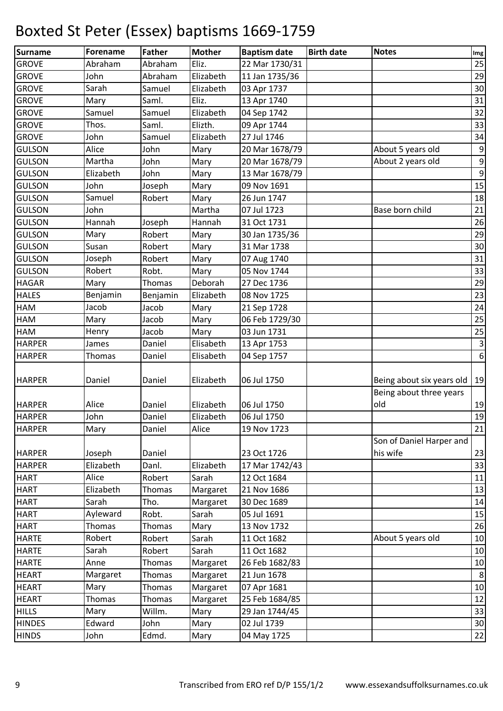| Surname       | Forename  | <b>Father</b> | <b>Mother</b> | <b>Baptism date</b> | <b>Birth date</b> | <b>Notes</b>                                         | Img              |
|---------------|-----------|---------------|---------------|---------------------|-------------------|------------------------------------------------------|------------------|
| <b>GROVE</b>  | Abraham   | Abraham       | Eliz.         | 22 Mar 1730/31      |                   |                                                      | 25               |
| <b>GROVE</b>  | John      | Abraham       | Elizabeth     | 11 Jan 1735/36      |                   |                                                      | 29               |
| <b>GROVE</b>  | Sarah     | Samuel        | Elizabeth     | 03 Apr 1737         |                   |                                                      | 30               |
| <b>GROVE</b>  | Mary      | Saml.         | Eliz.         | 13 Apr 1740         |                   |                                                      | 31               |
| <b>GROVE</b>  | Samuel    | Samuel        | Elizabeth     | 04 Sep 1742         |                   |                                                      | 32               |
| <b>GROVE</b>  | Thos.     | Saml.         | Elizth.       | 09 Apr 1744         |                   |                                                      | 33               |
| <b>GROVE</b>  | John      | Samuel        | Elizabeth     | 27 Jul 1746         |                   |                                                      | 34               |
| <b>GULSON</b> | Alice     | John          | Mary          | 20 Mar 1678/79      |                   | About 5 years old                                    | $\boldsymbol{9}$ |
| <b>GULSON</b> | Martha    | John          | Mary          | 20 Mar 1678/79      |                   | About 2 years old                                    | $\boldsymbol{9}$ |
| <b>GULSON</b> | Elizabeth | John          | Mary          | 13 Mar 1678/79      |                   |                                                      | $\boldsymbol{9}$ |
| <b>GULSON</b> | John      | Joseph        | Mary          | 09 Nov 1691         |                   |                                                      | 15               |
| <b>GULSON</b> | Samuel    | Robert        | Mary          | 26 Jun 1747         |                   |                                                      | 18               |
| <b>GULSON</b> | John      |               | Martha        | 07 Jul 1723         |                   | Base born child                                      | 21               |
| <b>GULSON</b> | Hannah    | Joseph        | Hannah        | 31 Oct 1731         |                   |                                                      | 26               |
| <b>GULSON</b> | Mary      | Robert        | Mary          | 30 Jan 1735/36      |                   |                                                      | 29               |
| <b>GULSON</b> | Susan     | Robert        | Mary          | 31 Mar 1738         |                   |                                                      | 30               |
| <b>GULSON</b> | Joseph    | Robert        | Mary          | 07 Aug 1740         |                   |                                                      | 31               |
| <b>GULSON</b> | Robert    | Robt.         | Mary          | 05 Nov 1744         |                   |                                                      | 33               |
| <b>HAGAR</b>  | Mary      | Thomas        | Deborah       | 27 Dec 1736         |                   |                                                      | 29               |
| <b>HALES</b>  | Benjamin  | Benjamin      | Elizabeth     | 08 Nov 1725         |                   |                                                      | 23               |
| <b>HAM</b>    | Jacob     | Jacob         | Mary          | 21 Sep 1728         |                   |                                                      | 24               |
| <b>HAM</b>    | Mary      | Jacob         | Mary          | 06 Feb 1729/30      |                   |                                                      | 25               |
| <b>HAM</b>    | Henry     | Jacob         | Mary          | 03 Jun 1731         |                   |                                                      | 25               |
| <b>HARPER</b> | James     | Daniel        | Elisabeth     | 13 Apr 1753         |                   |                                                      | $\mathbf{3}$     |
| <b>HARPER</b> | Thomas    | Daniel        | Elisabeth     | 04 Sep 1757         |                   |                                                      | $\sigma$         |
| <b>HARPER</b> | Daniel    | Daniel        | Elizabeth     | 06 Jul 1750         |                   | Being about six years old<br>Being about three years | 19               |
| <b>HARPER</b> | Alice     | Daniel        | Elizabeth     | 06 Jul 1750         |                   | old                                                  | 19               |
| <b>HARPER</b> | John      | Daniel        | Elizabeth     | 06 Jul 1750         |                   |                                                      | 19               |
| <b>HARPER</b> | Mary      | Daniel        | Alice         | 19 Nov 1723         |                   |                                                      | 21               |
| <b>HARPER</b> | Joseph    | Daniel        |               | 23 Oct 1726         |                   | Son of Daniel Harper and<br>his wife                 | 23               |
| <b>HARPER</b> | Elizabeth | Danl.         | Elizabeth     | 17 Mar 1742/43      |                   |                                                      | 33               |
| <b>HART</b>   | Alice     | Robert        | Sarah         | 12 Oct 1684         |                   |                                                      | 11               |
| <b>HART</b>   | Elizabeth | Thomas        | Margaret      | 21 Nov 1686         |                   |                                                      | 13               |
| <b>HART</b>   | Sarah     | Tho.          | Margaret      | 30 Dec 1689         |                   |                                                      | 14               |
| <b>HART</b>   | Ayleward  | Robt.         | Sarah         | 05 Jul 1691         |                   |                                                      | 15               |
| <b>HART</b>   | Thomas    | Thomas        | Mary          | 13 Nov 1732         |                   |                                                      | 26               |
| <b>HARTE</b>  | Robert    | Robert        | Sarah         | 11 Oct 1682         |                   | About 5 years old                                    | 10               |
| <b>HARTE</b>  | Sarah     | Robert        | Sarah         | 11 Oct 1682         |                   |                                                      | 10               |
| <b>HARTE</b>  | Anne      | Thomas        | Margaret      | 26 Feb 1682/83      |                   |                                                      | 10               |
| <b>HEART</b>  | Margaret  | Thomas        | Margaret      | 21 Jun 1678         |                   |                                                      | 8                |
| <b>HEART</b>  | Mary      | Thomas        | Margaret      | 07 Apr 1681         |                   |                                                      | 10               |
| <b>HEART</b>  | Thomas    | Thomas        | Margaret      | 25 Feb 1684/85      |                   |                                                      | 12               |
| <b>HILLS</b>  | Mary      | Willm.        | Mary          | 29 Jan 1744/45      |                   |                                                      | 33               |
| <b>HINDES</b> | Edward    | John          | Mary          | 02 Jul 1739         |                   |                                                      | 30               |
| <b>HINDS</b>  | John      | Edmd.         | Mary          | 04 May 1725         |                   |                                                      | 22               |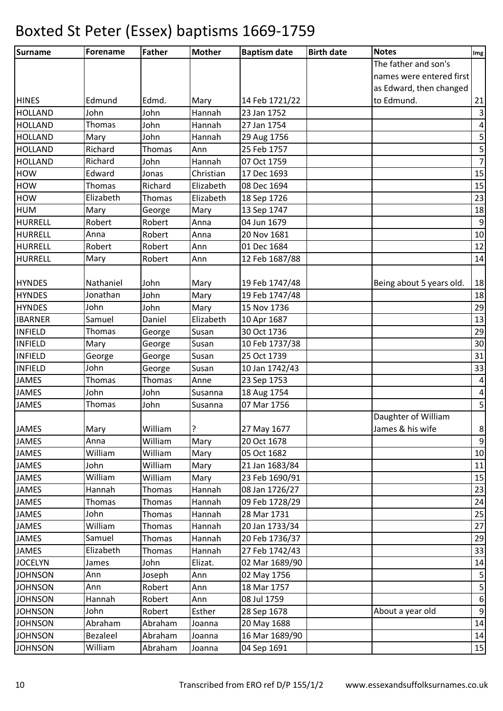| The father and son's<br>names were entered first<br>as Edward, then changed<br>to Edmund.<br>Edmund<br><b>HINES</b><br>Edmd.<br>Mary<br>14 Feb 1721/22<br>John<br>23 Jan 1752<br><b>HOLLAND</b><br>John<br>Hannah<br>Thomas<br><b>HOLLAND</b><br>John<br>Hannah<br>27 Jan 1754<br><b>HOLLAND</b><br>Mary<br>John<br>Hannah<br>29 Aug 1756 | 21<br>$\sf 5$<br>$\overline{5}$<br>15<br>15<br>23<br>18 |
|-------------------------------------------------------------------------------------------------------------------------------------------------------------------------------------------------------------------------------------------------------------------------------------------------------------------------------------------|---------------------------------------------------------|
|                                                                                                                                                                                                                                                                                                                                           |                                                         |
|                                                                                                                                                                                                                                                                                                                                           | $\overline{\mathbf{3}}$<br>$\pmb{4}$<br>$\overline{7}$  |
|                                                                                                                                                                                                                                                                                                                                           |                                                         |
|                                                                                                                                                                                                                                                                                                                                           |                                                         |
|                                                                                                                                                                                                                                                                                                                                           |                                                         |
|                                                                                                                                                                                                                                                                                                                                           |                                                         |
|                                                                                                                                                                                                                                                                                                                                           |                                                         |
| <b>HOLLAND</b><br>Richard<br>Thomas<br>Ann<br>25 Feb 1757                                                                                                                                                                                                                                                                                 |                                                         |
| Richard<br>Hannah<br>07 Oct 1759<br><b>HOLLAND</b><br>John                                                                                                                                                                                                                                                                                |                                                         |
| <b>HOW</b><br>Edward<br>Christian<br>17 Dec 1693<br>Jonas                                                                                                                                                                                                                                                                                 |                                                         |
| <b>HOW</b><br>Elizabeth<br>Thomas<br>Richard<br>08 Dec 1694                                                                                                                                                                                                                                                                               |                                                         |
| <b>HOW</b><br>Elizabeth<br>Elizabeth<br>Thomas<br>18 Sep 1726                                                                                                                                                                                                                                                                             |                                                         |
| <b>HUM</b><br>Mary<br>13 Sep 1747<br>Mary<br>George                                                                                                                                                                                                                                                                                       |                                                         |
| Robert<br>Robert<br>04 Jun 1679<br><b>HURRELL</b><br>Anna                                                                                                                                                                                                                                                                                 | $9\,$                                                   |
| <b>HURRELL</b><br>Robert<br>Anna<br>20 Nov 1681<br>Anna                                                                                                                                                                                                                                                                                   | 10                                                      |
| Robert<br>Robert<br><b>HURRELL</b><br>Ann<br>01 Dec 1684                                                                                                                                                                                                                                                                                  | 12                                                      |
| <b>HURRELL</b><br>Robert<br>12 Feb 1687/88<br>Mary<br>Ann                                                                                                                                                                                                                                                                                 | 14                                                      |
|                                                                                                                                                                                                                                                                                                                                           |                                                         |
| Nathaniel<br>John<br>19 Feb 1747/48<br>Being about 5 years old.<br><b>HYNDES</b><br>Mary                                                                                                                                                                                                                                                  | 18                                                      |
| Jonathan<br>John<br><b>HYNDES</b><br>Mary<br>19 Feb 1747/48                                                                                                                                                                                                                                                                               | 18                                                      |
| John<br><b>HYNDES</b><br>John<br>Mary<br>15 Nov 1736                                                                                                                                                                                                                                                                                      | 29                                                      |
| <b>IBARNER</b><br>Samuel<br>Elizabeth<br>Daniel<br>10 Apr 1687                                                                                                                                                                                                                                                                            | 13                                                      |
| Susan<br><b>INFIELD</b><br>Thomas<br>30 Oct 1736<br>George                                                                                                                                                                                                                                                                                | 29                                                      |
| <b>INFIELD</b><br>Mary<br>Susan<br>10 Feb 1737/38<br>George                                                                                                                                                                                                                                                                               | 30                                                      |
| <b>INFIELD</b><br>25 Oct 1739<br>Susan<br>George<br>George                                                                                                                                                                                                                                                                                | 31                                                      |
| <b>INFIELD</b><br>John<br>George<br>Susan<br>10 Jan 1742/43                                                                                                                                                                                                                                                                               | 33                                                      |
| <b>JAMES</b><br>Thomas<br>Thomas<br>Anne<br>23 Sep 1753                                                                                                                                                                                                                                                                                   | $\overline{a}$                                          |
| <b>JAMES</b><br>John<br>John<br>18 Aug 1754<br>Susanna                                                                                                                                                                                                                                                                                    | $\pmb{4}$                                               |
| 07 Mar 1756<br><b>JAMES</b><br>Thomas<br>John<br>Susanna                                                                                                                                                                                                                                                                                  | 5                                                       |
| Daughter of William                                                                                                                                                                                                                                                                                                                       |                                                         |
| ?<br>William<br>James & his wife<br>Mary<br>27 May 1677<br><b>JAMES</b>                                                                                                                                                                                                                                                                   | $\bf 8$                                                 |
| William<br>20 Oct 1678<br><b>JAMES</b><br>Anna<br>Mary                                                                                                                                                                                                                                                                                    | $\overline{9}$                                          |
| William<br>William<br>JAMES<br>05 Oct 1682<br>Mary                                                                                                                                                                                                                                                                                        | 10                                                      |
| <b>JAMES</b><br>John<br>William<br>Mary<br>21 Jan 1683/84                                                                                                                                                                                                                                                                                 | 11                                                      |
| JAMES<br>William<br>William<br>Mary<br>23 Feb 1690/91                                                                                                                                                                                                                                                                                     | 15                                                      |
| Hannah<br><b>JAMES</b><br>Thomas<br>Hannah<br>08 Jan 1726/27                                                                                                                                                                                                                                                                              | 23                                                      |
| <b>JAMES</b><br>Thomas<br>09 Feb 1728/29<br>Thomas<br>Hannah                                                                                                                                                                                                                                                                              | 24                                                      |
| JAMES<br>John<br>28 Mar 1731<br>Thomas<br>Hannah                                                                                                                                                                                                                                                                                          | 25                                                      |
| <b>JAMES</b><br>William<br>20 Jan 1733/34<br>Thomas<br>Hannah                                                                                                                                                                                                                                                                             | 27                                                      |
| Samuel<br>20 Feb 1736/37<br>JAMES<br>Thomas<br>Hannah                                                                                                                                                                                                                                                                                     | 29                                                      |
| Elizabeth<br><b>JAMES</b><br>Thomas<br>Hannah<br>27 Feb 1742/43                                                                                                                                                                                                                                                                           | 33                                                      |
| <b>JOCELYN</b><br>Elizat.<br>02 Mar 1689/90<br>John<br>James                                                                                                                                                                                                                                                                              | 14                                                      |
| Ann<br><b>JOHNSON</b><br>Joseph<br>Ann<br>02 May 1756                                                                                                                                                                                                                                                                                     | $\overline{\mathbf{5}}$                                 |
| 18 Mar 1757<br><b>JOHNSON</b><br>Robert<br>Ann<br>Ann                                                                                                                                                                                                                                                                                     | $\overline{\mathbf{5}}$                                 |
| Hannah<br>08 Jul 1759<br><b>JOHNSON</b><br>Robert<br>Ann                                                                                                                                                                                                                                                                                  | $6 \mid$                                                |
| About a year old<br><b>JOHNSON</b><br>John<br>Robert<br>Esther<br>28 Sep 1678                                                                                                                                                                                                                                                             | $\overline{9}$                                          |
| Abraham<br>Abraham<br>20 May 1688<br><b>JOHNSON</b><br>Joanna                                                                                                                                                                                                                                                                             | 14                                                      |
| Bezaleel<br>Abraham<br>16 Mar 1689/90<br><b>JOHNSON</b><br>Joanna                                                                                                                                                                                                                                                                         | 14                                                      |
| <b>JOHNSON</b><br>William<br>04 Sep 1691<br>Abraham<br>Joanna                                                                                                                                                                                                                                                                             | 15                                                      |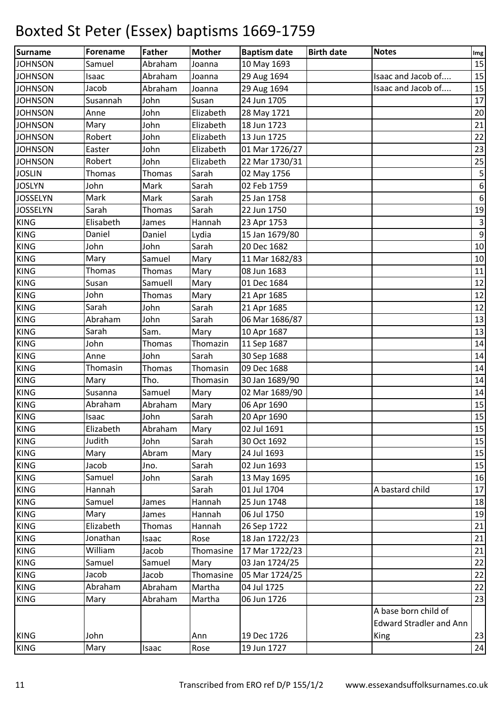| Surname         | <b>Forename</b> | <b>Father</b> | <b>Mother</b> | <b>Baptism date</b> | <b>Birth date</b> | <b>Notes</b>                   | Img              |
|-----------------|-----------------|---------------|---------------|---------------------|-------------------|--------------------------------|------------------|
| <b>JOHNSON</b>  | Samuel          | Abraham       | Joanna        | 10 May 1693         |                   |                                | 15               |
| <b>JOHNSON</b>  | Isaac           | Abraham       | Joanna        | 29 Aug 1694         |                   | Isaac and Jacob of             | 15               |
| <b>JOHNSON</b>  | Jacob           | Abraham       | Joanna        | 29 Aug 1694         |                   | Isaac and Jacob of             | 15               |
| <b>JOHNSON</b>  | Susannah        | John          | Susan         | 24 Jun 1705         |                   |                                | 17               |
| <b>JOHNSON</b>  | Anne            | John          | Elizabeth     | 28 May 1721         |                   |                                | 20               |
| <b>JOHNSON</b>  | Mary            | John          | Elizabeth     | 18 Jun 1723         |                   |                                | 21               |
| <b>JOHNSON</b>  | Robert          | John          | Elizabeth     | 13 Jun 1725         |                   |                                | 22               |
| <b>JOHNSON</b>  | Easter          | John          | Elizabeth     | 01 Mar 1726/27      |                   |                                | 23               |
| <b>JOHNSON</b>  | Robert          | John          | Elizabeth     | 22 Mar 1730/31      |                   |                                | 25               |
| <b>JOSLIN</b>   | Thomas          | Thomas        | Sarah         | 02 May 1756         |                   |                                | $\sf S$          |
| <b>JOSLYN</b>   | John            | Mark          | Sarah         | 02 Feb 1759         |                   |                                | $\boldsymbol{6}$ |
| <b>JOSSELYN</b> | Mark            | Mark          | Sarah         | 25 Jan 1758         |                   |                                | $\boldsymbol{6}$ |
| <b>JOSSELYN</b> | Sarah           | Thomas        | Sarah         | 22 Jun 1750         |                   |                                | 19               |
| <b>KING</b>     | Elisabeth       | James         | Hannah        | 23 Apr 1753         |                   |                                | $\mathsf 3$      |
| <b>KING</b>     | Daniel          | Daniel        | Lydia         | 15 Jan 1679/80      |                   |                                | $\boldsymbol{9}$ |
| <b>KING</b>     | John            | John          | Sarah         | 20 Dec 1682         |                   |                                | 10               |
| <b>KING</b>     | Mary            | Samuel        | Mary          | 11 Mar 1682/83      |                   |                                | 10               |
| <b>KING</b>     | Thomas          | Thomas        | Mary          | 08 Jun 1683         |                   |                                | 11               |
| <b>KING</b>     | Susan           | Samuell       | Mary          | 01 Dec 1684         |                   |                                | 12               |
| <b>KING</b>     | John            | Thomas        | Mary          | 21 Apr 1685         |                   |                                | 12               |
| <b>KING</b>     | Sarah           | John          | Sarah         | 21 Apr 1685         |                   |                                | 12               |
| <b>KING</b>     | Abraham         | John          | Sarah         | 06 Mar 1686/87      |                   |                                | 13               |
| <b>KING</b>     | Sarah           | Sam.          | Mary          | 10 Apr 1687         |                   |                                | 13               |
| <b>KING</b>     | John            | Thomas        | Thomazin      | 11 Sep 1687         |                   |                                | 14               |
| <b>KING</b>     | Anne            | John          | Sarah         | 30 Sep 1688         |                   |                                | 14               |
| <b>KING</b>     | Thomasin        | Thomas        | Thomasin      | 09 Dec 1688         |                   |                                | 14               |
| <b>KING</b>     | Mary            | Tho.          | Thomasin      | 30 Jan 1689/90      |                   |                                | 14               |
| <b>KING</b>     | Susanna         | Samuel        | Mary          | 02 Mar 1689/90      |                   |                                | 14               |
| <b>KING</b>     | Abraham         | Abraham       | Mary          | 06 Apr 1690         |                   |                                | 15               |
| <b>KING</b>     | Isaac           | John          | Sarah         | 20 Apr 1690         |                   |                                | 15               |
| <b>KING</b>     | Elizabeth       | Abraham       | Mary          | 02 Jul 1691         |                   |                                | 15               |
| <b>KING</b>     | Judith          | John          | Sarah         | 30 Oct 1692         |                   |                                | 15               |
| <b>KING</b>     | Mary            | Abram         | Mary          | 24 Jul 1693         |                   |                                | 15               |
| <b>KING</b>     | Jacob           | Jno.          | Sarah         | 02 Jun 1693         |                   |                                | 15               |
| <b>KING</b>     | Samuel          | John          | Sarah         | 13 May 1695         |                   |                                | 16               |
| <b>KING</b>     | Hannah          |               | Sarah         | 01 Jul 1704         |                   | A bastard child                | 17               |
| <b>KING</b>     | Samuel          | James         | Hannah        | 25 Jun 1748         |                   |                                | 18               |
| <b>KING</b>     | Mary            | James         | Hannah        | 06 Jul 1750         |                   |                                | 19               |
| <b>KING</b>     | Elizabeth       | Thomas        | Hannah        | 26 Sep 1722         |                   |                                | 21               |
| <b>KING</b>     | Jonathan        | Isaac         | Rose          | 18 Jan 1722/23      |                   |                                | 21               |
| <b>KING</b>     | William         | Jacob         | Thomasine     | 17 Mar 1722/23      |                   |                                | 21               |
| <b>KING</b>     | Samuel          | Samuel        | Mary          | 03 Jan 1724/25      |                   |                                | 22               |
| <b>KING</b>     | Jacob           | Jacob         | Thomasine     | 05 Mar 1724/25      |                   |                                | 22               |
| <b>KING</b>     | Abraham         | Abraham       | Martha        | 04 Jul 1725         |                   |                                | 22               |
| <b>KING</b>     | Mary            | Abraham       | Martha        | 06 Jun 1726         |                   |                                | 23               |
|                 |                 |               |               |                     |                   | A base born child of           |                  |
|                 |                 |               |               |                     |                   | <b>Edward Stradler and Ann</b> |                  |
| <b>KING</b>     | John            |               | Ann           | 19 Dec 1726         |                   | King                           | 23               |
| <b>KING</b>     | Mary            | Isaac         | Rose          | 19 Jun 1727         |                   |                                | 24               |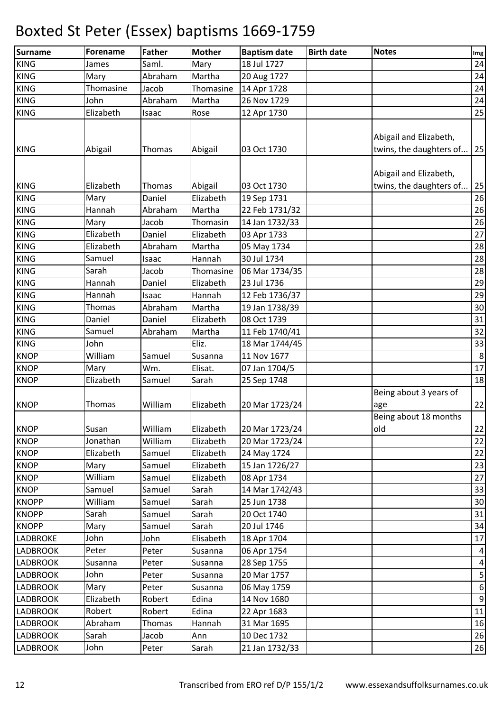| Surname                    | <b>Forename</b> | <b>Father</b>    | <b>Mother</b> | <b>Baptism date</b> | <b>Birth date</b> | <b>Notes</b>                                      | Img                     |
|----------------------------|-----------------|------------------|---------------|---------------------|-------------------|---------------------------------------------------|-------------------------|
| <b>KING</b>                | James           | Saml.            | Mary          | 18 Jul 1727         |                   |                                                   | 24                      |
| <b>KING</b>                | Mary            | Abraham          | Martha        | 20 Aug 1727         |                   |                                                   | 24                      |
| <b>KING</b>                | Thomasine       | Jacob            | Thomasine     | 14 Apr 1728         |                   |                                                   | 24                      |
| <b>KING</b>                | John            | Abraham          | Martha        | 26 Nov 1729         |                   |                                                   | 24                      |
| <b>KING</b>                | Elizabeth       | Isaac            | Rose          | 12 Apr 1730         |                   |                                                   | 25                      |
| <b>KING</b>                | Abigail         | Thomas           | Abigail       | 03 Oct 1730         |                   | Abigail and Elizabeth,<br>twins, the daughters of | 25                      |
|                            |                 |                  |               |                     |                   |                                                   |                         |
|                            | Elizabeth       |                  |               |                     |                   | Abigail and Elizabeth,                            |                         |
| <b>KING</b><br><b>KING</b> |                 | Thomas<br>Daniel | Abigail       | 03 Oct 1730         |                   | twins, the daughters of                           | 25<br>26                |
|                            | Mary            | Abraham          | Elizabeth     | 19 Sep 1731         |                   |                                                   |                         |
| <b>KING</b>                | Hannah          |                  | Martha        | 22 Feb 1731/32      |                   |                                                   | 26                      |
| <b>KING</b>                | Mary            | Jacob            | Thomasin      | 14 Jan 1732/33      |                   |                                                   | 26                      |
| <b>KING</b>                | Elizabeth       | Daniel           | Elizabeth     | 03 Apr 1733         |                   |                                                   | 27                      |
| <b>KING</b>                | Elizabeth       | Abraham          | Martha        | 05 May 1734         |                   |                                                   | 28                      |
| <b>KING</b>                | Samuel          | Isaac            | Hannah        | 30 Jul 1734         |                   |                                                   | 28                      |
| <b>KING</b>                | Sarah           | Jacob            | Thomasine     | 06 Mar 1734/35      |                   |                                                   | 28                      |
| <b>KING</b>                | Hannah          | Daniel           | Elizabeth     | 23 Jul 1736         |                   |                                                   | 29                      |
| <b>KING</b>                | Hannah          | Isaac            | Hannah        | 12 Feb 1736/37      |                   |                                                   | 29                      |
| <b>KING</b>                | Thomas          | Abraham          | Martha        | 19 Jan 1738/39      |                   |                                                   | 30                      |
| <b>KING</b>                | Daniel          | Daniel           | Elizabeth     | 08 Oct 1739         |                   |                                                   | 31                      |
| <b>KING</b>                | Samuel          | Abraham          | Martha        | 11 Feb 1740/41      |                   |                                                   | 32                      |
| <b>KING</b>                | John            |                  | Eliz.         | 18 Mar 1744/45      |                   |                                                   | 33                      |
| <b>KNOP</b>                | William         | Samuel           | Susanna       | 11 Nov 1677         |                   |                                                   | $\bf 8$                 |
| <b>KNOP</b>                | Mary            | Wm.              | Elisat.       | 07 Jan 1704/5       |                   |                                                   | $17\,$                  |
| <b>KNOP</b>                | Elizabeth       | Samuel           | Sarah         | 25 Sep 1748         |                   |                                                   | 18                      |
| <b>KNOP</b>                | Thomas          | William          | Elizabeth     | 20 Mar 1723/24      |                   | Being about 3 years of<br>age                     | 22                      |
| <b>KNOP</b>                | Susan           | William          | Elizabeth     | 20 Mar 1723/24      |                   | Being about 18 months<br>old                      | 22                      |
| <b>KNOP</b>                | Jonathan        | William          | Elizabeth     | 20 Mar 1723/24      |                   |                                                   | 22                      |
| <b>KNOP</b>                | Elizabeth       | Samuel           | Elizabeth     | 24 May 1724         |                   |                                                   | 22                      |
| <b>KNOP</b>                | Mary            | Samuel           | Elizabeth     | 15 Jan 1726/27      |                   |                                                   | 23                      |
| <b>KNOP</b>                | William         | Samuel           | Elizabeth     | 08 Apr 1734         |                   |                                                   | 27                      |
| <b>KNOP</b>                | Samuel          | Samuel           | Sarah         | 14 Mar 1742/43      |                   |                                                   | 33                      |
| <b>KNOPP</b>               | William         | Samuel           | Sarah         | 25 Jun 1738         |                   |                                                   | 30                      |
| <b>KNOPP</b>               | Sarah           | Samuel           | Sarah         | 20 Oct 1740         |                   |                                                   | 31                      |
| <b>KNOPP</b>               | Mary            | Samuel           | Sarah         | 20 Jul 1746         |                   |                                                   | 34                      |
| <b>LADBROKE</b>            | John            | John             | Elisabeth     | 18 Apr 1704         |                   |                                                   | 17                      |
| <b>LADBROOK</b>            | Peter           | Peter            | Susanna       | 06 Apr 1754         |                   |                                                   | $\overline{\mathbf{r}}$ |
| <b>LADBROOK</b>            | Susanna         | Peter            | Susanna       | 28 Sep 1755         |                   |                                                   | $\overline{a}$          |
| <b>LADBROOK</b>            | John            | Peter            | Susanna       | 20 Mar 1757         |                   |                                                   | $\overline{5}$          |
| <b>LADBROOK</b>            | Mary            | Peter            | Susanna       | 06 May 1759         |                   |                                                   | $\boldsymbol{6}$        |
| <b>LADBROOK</b>            | Elizabeth       | Robert           | Edina         | 14 Nov 1680         |                   |                                                   | $\overline{9}$          |
| <b>LADBROOK</b>            | Robert          | Robert           | Edina         | 22 Apr 1683         |                   |                                                   | 11                      |
| <b>LADBROOK</b>            | Abraham         | Thomas           | Hannah        | 31 Mar 1695         |                   |                                                   | 16                      |
| <b>LADBROOK</b>            | Sarah           | Jacob            | Ann           | 10 Dec 1732         |                   |                                                   | 26                      |
| <b>LADBROOK</b>            | John            | Peter            | Sarah         | 21 Jan 1732/33      |                   |                                                   | 26                      |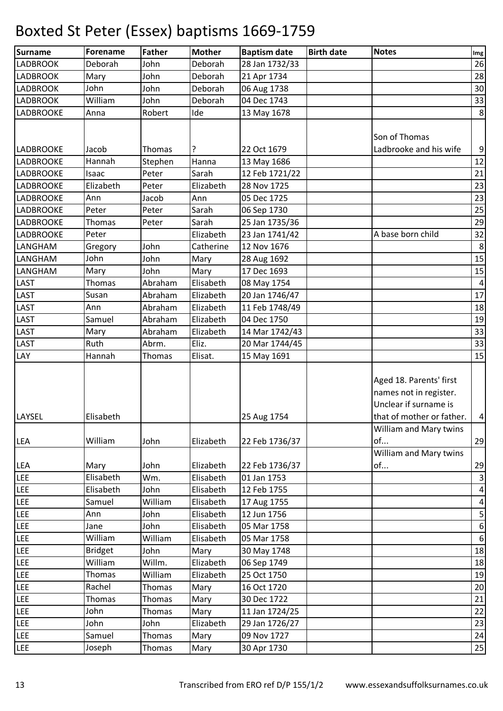| <b>Surname</b>   | Forename       | <b>Father</b> | <b>Mother</b> | <b>Baptism date</b> | <b>Birth date</b> | <b>Notes</b>                                      | Img              |
|------------------|----------------|---------------|---------------|---------------------|-------------------|---------------------------------------------------|------------------|
| <b>LADBROOK</b>  | Deborah        | John          | Deborah       | 28 Jan 1732/33      |                   |                                                   | 26               |
| <b>LADBROOK</b>  | Mary           | John          | Deborah       | 21 Apr 1734         |                   |                                                   | 28               |
| <b>LADBROOK</b>  | John           | John          | Deborah       | 06 Aug 1738         |                   |                                                   | 30               |
| <b>LADBROOK</b>  | William        | John          | Deborah       | 04 Dec 1743         |                   |                                                   | 33               |
| <b>LADBROOKE</b> | Anna           | Robert        | Ide           | 13 May 1678         |                   |                                                   | 8 <sup>1</sup>   |
|                  |                |               |               |                     |                   |                                                   |                  |
|                  |                |               |               |                     |                   | Son of Thomas                                     |                  |
| <b>LADBROOKE</b> | Jacob          | Thomas        | ?             | 22 Oct 1679         |                   | Ladbrooke and his wife                            | $\boldsymbol{9}$ |
| <b>LADBROOKE</b> | Hannah         | Stephen       | Hanna         | 13 May 1686         |                   |                                                   | 12               |
| <b>LADBROOKE</b> | Isaac          | Peter         | Sarah         | 12 Feb 1721/22      |                   |                                                   | 21               |
| <b>LADBROOKE</b> | Elizabeth      | Peter         | Elizabeth     | 28 Nov 1725         |                   |                                                   | 23               |
| <b>LADBROOKE</b> | Ann            | Jacob         | Ann           | 05 Dec 1725         |                   |                                                   | 23               |
| <b>LADBROOKE</b> | Peter          | Peter         | Sarah         | 06 Sep 1730         |                   |                                                   | 25               |
| <b>LADBROOKE</b> | Thomas         | Peter         | Sarah         | 25 Jan 1735/36      |                   |                                                   | 29               |
| <b>LADBROOKE</b> | Peter          |               | Elizabeth     | 23 Jan 1741/42      |                   | A base born child                                 | 32               |
| LANGHAM          | Gregory        | John          | Catherine     | 12 Nov 1676         |                   |                                                   | $\bf 8$          |
| LANGHAM          | John           | John          | Mary          | 28 Aug 1692         |                   |                                                   | 15               |
| LANGHAM          | Mary           | John          | Mary          | 17 Dec 1693         |                   |                                                   | 15               |
| LAST             | Thomas         | Abraham       | Elisabeth     | 08 May 1754         |                   |                                                   | 4                |
| LAST             | Susan          | Abraham       | Elizabeth     | 20 Jan 1746/47      |                   |                                                   | 17               |
| <b>LAST</b>      | Ann            | Abraham       | Elizabeth     | 11 Feb 1748/49      |                   |                                                   | 18               |
| <b>LAST</b>      | Samuel         | Abraham       | Elizabeth     | 04 Dec 1750         |                   |                                                   | 19               |
| <b>LAST</b>      | Mary           | Abraham       | Elizabeth     | 14 Mar 1742/43      |                   |                                                   | 33               |
| <b>LAST</b>      | Ruth           | Abrm.         | Eliz.         | 20 Mar 1744/45      |                   |                                                   | 33               |
| LAY              | Hannah         | Thomas        | Elisat.       | 15 May 1691         |                   |                                                   | 15               |
|                  |                |               |               |                     |                   | Aged 18. Parents' first<br>names not in register. |                  |
|                  |                |               |               |                     |                   | Unclear if surname is                             |                  |
| LAYSEL           | Elisabeth      |               |               | 25 Aug 1754         |                   | that of mother or father.                         | $\vert 4 \vert$  |
|                  |                |               |               |                     |                   | William and Mary twins                            |                  |
| <b>LEA</b>       | William        | John          | Elizabeth     | 22 Feb 1736/37      |                   | of                                                | 29               |
|                  |                |               |               |                     |                   | William and Mary twins                            |                  |
| <b>LEA</b>       | Mary           | John          | Elizabeth     | 22 Feb 1736/37      |                   | of                                                | 29               |
| LEE              | Elisabeth      | Wm.           | Elisabeth     | 01 Jan 1753         |                   |                                                   | $\mathbf{3}$     |
| LEE              | Elisabeth      | John          | Elisabeth     | 12 Feb 1755         |                   |                                                   | $\vert 4 \vert$  |
| LEE              | Samuel         | William       | Elisabeth     | 17 Aug 1755         |                   |                                                   | $\pmb{4}$        |
| LEE              | Ann            | John          | Elisabeth     | 12 Jun 1756         |                   |                                                   | $\mathsf S$      |
| LEE              | Jane           | John          | Elisabeth     | 05 Mar 1758         |                   |                                                   | $\boldsymbol{6}$ |
| LEE              | William        | William       | Elisabeth     | 05 Mar 1758         |                   |                                                   | $6 \overline{6}$ |
| LEE              | <b>Bridget</b> | John          | Mary          | 30 May 1748         |                   |                                                   | 18               |
| LEE              | William        | Willm.        | Elizabeth     | 06 Sep 1749         |                   |                                                   | 18               |
| <b>LEE</b>       | Thomas         | William       | Elizabeth     | 25 Oct 1750         |                   |                                                   | 19               |
| LEE              | Rachel         | Thomas        | Mary          | 16 Oct 1720         |                   |                                                   | 20               |
| LEE              | Thomas         | Thomas        | Mary          | 30 Dec 1722         |                   |                                                   | 21               |
| LEE              | John           | Thomas        | Mary          | 11 Jan 1724/25      |                   |                                                   | 22               |
| LEE              | John           | John          | Elizabeth     | 29 Jan 1726/27      |                   |                                                   | 23               |
| <b>LEE</b>       | Samuel         | Thomas        | Mary          | 09 Nov 1727         |                   |                                                   | 24               |
| LEE              | Joseph         | Thomas        | Mary          | 30 Apr 1730         |                   |                                                   | 25               |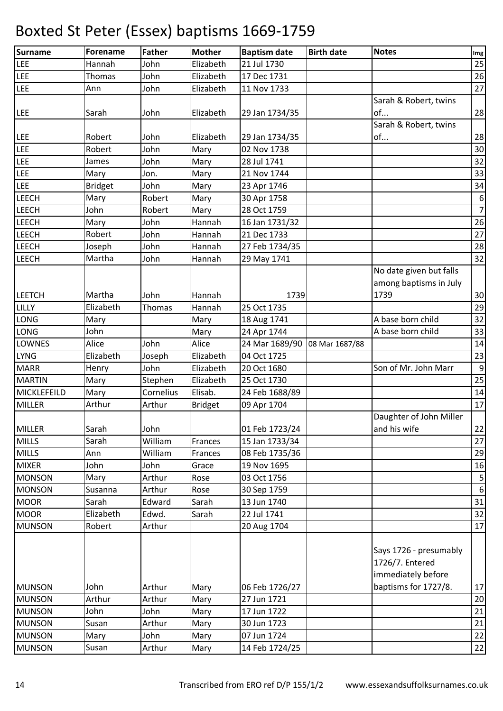| <b>Surname</b> | Forename       | <b>Father</b> | <b>Mother</b>  | <b>Baptism date</b> | <b>Birth date</b> | <b>Notes</b>            | Img                     |
|----------------|----------------|---------------|----------------|---------------------|-------------------|-------------------------|-------------------------|
| <b>LEE</b>     | Hannah         | John          | Elizabeth      | 21 Jul 1730         |                   |                         | 25                      |
| LEE            | Thomas         | John          | Elizabeth      | 17 Dec 1731         |                   |                         | 26                      |
| LEE            | Ann            | John          | Elizabeth      | 11 Nov 1733         |                   |                         | 27                      |
|                |                |               |                |                     |                   | Sarah & Robert, twins   |                         |
| LEE            | Sarah          | John          | Elizabeth      | 29 Jan 1734/35      |                   | of                      | 28                      |
|                |                |               |                |                     |                   | Sarah & Robert, twins   |                         |
| LEE            | Robert         | John          | Elizabeth      | 29 Jan 1734/35      |                   | of                      | 28                      |
| <b>LEE</b>     | Robert         | John          | Mary           | 02 Nov 1738         |                   |                         | 30                      |
| LEE            | James          | John          | Mary           | 28 Jul 1741         |                   |                         | 32                      |
| <b>LEE</b>     | Mary           | Jon.          | Mary           | 21 Nov 1744         |                   |                         | 33                      |
| <b>LEE</b>     | <b>Bridget</b> | John          | Mary           | 23 Apr 1746         |                   |                         | 34                      |
| <b>LEECH</b>   | Mary           | Robert        | Mary           | 30 Apr 1758         |                   |                         | $\boldsymbol{6}$        |
| <b>LEECH</b>   | John           | Robert        | Mary           | 28 Oct 1759         |                   |                         | $\overline{7}$          |
| <b>LEECH</b>   | Mary           | John          | Hannah         | 16 Jan 1731/32      |                   |                         | 26                      |
| <b>LEECH</b>   | Robert         | John          | Hannah         | 21 Dec 1733         |                   |                         | 27                      |
| <b>LEECH</b>   | Joseph         | John          | Hannah         | 27 Feb 1734/35      |                   |                         | 28                      |
| <b>LEECH</b>   | Martha         | John          | Hannah         | 29 May 1741         |                   |                         | 32                      |
|                |                |               |                |                     |                   | No date given but falls |                         |
|                |                |               |                |                     |                   | among baptisms in July  |                         |
| <b>LEETCH</b>  | Martha         | John          | Hannah         | 1739                |                   | 1739                    | 30                      |
| LILLY          | Elizabeth      | Thomas        | Hannah         | 25 Oct 1735         |                   |                         | 29                      |
| <b>LONG</b>    | Mary           |               | Mary           | 18 Aug 1741         |                   | A base born child       | 32                      |
| <b>LONG</b>    | John           |               | Mary           | 24 Apr 1744         |                   | A base born child       | 33                      |
| <b>LOWNES</b>  | Alice          | John          | Alice          | 24 Mar 1689/90      | 08 Mar 1687/88    |                         | 14                      |
| <b>LYNG</b>    | Elizabeth      | Joseph        | Elizabeth      | 04 Oct 1725         |                   |                         | 23                      |
| <b>MARR</b>    | Henry          | John          | Elizabeth      | 20 Oct 1680         |                   | Son of Mr. John Marr    | $\boldsymbol{9}$        |
| <b>MARTIN</b>  | Mary           | Stephen       | Elizabeth      | 25 Oct 1730         |                   |                         | 25                      |
| MICKLEFEILD    | Mary           | Cornelius     | Elisab.        | 24 Feb 1688/89      |                   |                         | 14                      |
| <b>MILLER</b>  | Arthur         | Arthur        | <b>Bridget</b> | 09 Apr 1704         |                   |                         | 17                      |
|                |                |               |                |                     |                   | Daughter of John Miller |                         |
| <b>MILLER</b>  | Sarah          | John          |                | 01 Feb 1723/24      |                   | and his wife            | 22                      |
| <b>MILLS</b>   | Sarah          | William       | Frances        | 15 Jan 1733/34      |                   |                         | 27                      |
| <b>MILLS</b>   | Ann            | William       | Frances        | 08 Feb 1735/36      |                   |                         | 29                      |
| <b>MIXER</b>   | John           | John          | Grace          | 19 Nov 1695         |                   |                         | 16                      |
| <b>MONSON</b>  | Mary           | Arthur        | Rose           | 03 Oct 1756         |                   |                         | $\overline{\mathbf{5}}$ |
| <b>MONSON</b>  | Susanna        | Arthur        | Rose           | 30 Sep 1759         |                   |                         | $\boldsymbol{6}$        |
| <b>MOOR</b>    | Sarah          | Edward        | Sarah          | 13 Jun 1740         |                   |                         | 31                      |
| <b>MOOR</b>    | Elizabeth      | Edwd.         | Sarah          | 22 Jul 1741         |                   |                         | 32                      |
| <b>MUNSON</b>  | Robert         | Arthur        |                | 20 Aug 1704         |                   |                         | 17                      |
|                |                |               |                |                     |                   |                         |                         |
|                |                |               |                |                     |                   | Says 1726 - presumably  |                         |
|                |                |               |                |                     |                   | 1726/7. Entered         |                         |
|                |                |               |                |                     |                   | immediately before      |                         |
| <b>MUNSON</b>  | John           | Arthur        | Mary           | 06 Feb 1726/27      |                   | baptisms for 1727/8.    | 17                      |
| <b>MUNSON</b>  | Arthur         | Arthur        | Mary           | 27 Jun 1721         |                   |                         | 20                      |
| <b>MUNSON</b>  | John           | John          | Mary           | 17 Jun 1722         |                   |                         | 21                      |
| <b>MUNSON</b>  | Susan          | Arthur        | Mary           | 30 Jun 1723         |                   |                         | 21                      |
| <b>MUNSON</b>  | Mary           | John          | Mary           | 07 Jun 1724         |                   |                         | 22                      |
| <b>MUNSON</b>  | Susan          | Arthur        | Mary           | 14 Feb 1724/25      |                   |                         | 22                      |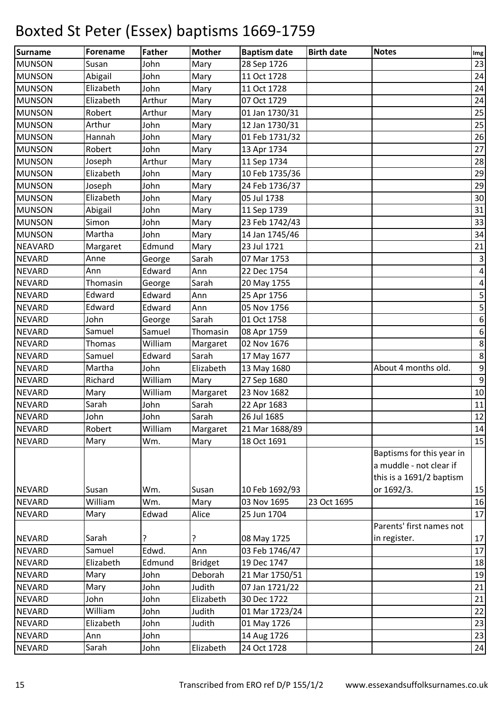| <b>Surname</b> | <b>Forename</b> | Father  | <b>Mother</b>  | <b>Baptism date</b> | <b>Birth date</b> | <b>Notes</b>              | Img                     |
|----------------|-----------------|---------|----------------|---------------------|-------------------|---------------------------|-------------------------|
| <b>MUNSON</b>  | Susan           | John    | Mary           | 28 Sep 1726         |                   |                           | 23                      |
| <b>MUNSON</b>  | Abigail         | John    | Mary           | 11 Oct 1728         |                   |                           | 24                      |
| <b>MUNSON</b>  | Elizabeth       | John    | Mary           | 11 Oct 1728         |                   |                           | 24                      |
| <b>MUNSON</b>  | Elizabeth       | Arthur  | Mary           | 07 Oct 1729         |                   |                           | 24                      |
| <b>MUNSON</b>  | Robert          | Arthur  | Mary           | 01 Jan 1730/31      |                   |                           | 25                      |
| <b>MUNSON</b>  | Arthur          | John    | Mary           | 12 Jan 1730/31      |                   |                           | 25                      |
| <b>MUNSON</b>  | Hannah          | John    | Mary           | 01 Feb 1731/32      |                   |                           | 26                      |
| <b>MUNSON</b>  | Robert          | John    | Mary           | 13 Apr 1734         |                   |                           | 27                      |
| <b>MUNSON</b>  | Joseph          | Arthur  | Mary           | 11 Sep 1734         |                   |                           | 28                      |
| <b>MUNSON</b>  | Elizabeth       | John    | Mary           | 10 Feb 1735/36      |                   |                           | 29                      |
| <b>MUNSON</b>  | Joseph          | John    | Mary           | 24 Feb 1736/37      |                   |                           | 29                      |
| <b>MUNSON</b>  | Elizabeth       | John    | Mary           | 05 Jul 1738         |                   |                           | 30                      |
| <b>MUNSON</b>  | Abigail         | John    | Mary           | 11 Sep 1739         |                   |                           | 31                      |
| <b>MUNSON</b>  | Simon           | John    | Mary           | 23 Feb 1742/43      |                   |                           | 33                      |
| <b>MUNSON</b>  | Martha          | John    | Mary           | 14 Jan 1745/46      |                   |                           | 34                      |
| <b>NEAVARD</b> | Margaret        | Edmund  | Mary           | 23 Jul 1721         |                   |                           | 21                      |
| <b>NEVARD</b>  | Anne            | George  | Sarah          | 07 Mar 1753         |                   |                           | $\overline{\mathbf{3}}$ |
| <b>NEVARD</b>  | Ann             | Edward  | Ann            | 22 Dec 1754         |                   |                           | $\pmb{4}$               |
| <b>NEVARD</b>  | Thomasin        | George  | Sarah          | 20 May 1755         |                   |                           | $\pmb{4}$               |
| <b>NEVARD</b>  | Edward          | Edward  | Ann            | 25 Apr 1756         |                   |                           | $\mathsf S$             |
| <b>NEVARD</b>  | Edward          | Edward  | Ann            | 05 Nov 1756         |                   |                           | 5                       |
| <b>NEVARD</b>  | John            | George  | Sarah          | 01 Oct 1758         |                   |                           | $\boldsymbol{6}$        |
| <b>NEVARD</b>  | Samuel          | Samuel  | Thomasin       | 08 Apr 1759         |                   |                           | $\boldsymbol{6}$        |
| <b>NEVARD</b>  | Thomas          | William | Margaret       | 02 Nov 1676         |                   |                           | $\bf 8$                 |
| <b>NEVARD</b>  | Samuel          | Edward  | Sarah          | 17 May 1677         |                   |                           | $\bf 8$                 |
| <b>NEVARD</b>  | Martha          | John    | Elizabeth      | 13 May 1680         |                   | About 4 months old.       | $\boldsymbol{9}$        |
| <b>NEVARD</b>  | Richard         | William | Mary           | 27 Sep 1680         |                   |                           | $\boldsymbol{9}$        |
| <b>NEVARD</b>  | Mary            | William | Margaret       | 23 Nov 1682         |                   |                           | $10\,$                  |
| <b>NEVARD</b>  | Sarah           | John    | Sarah          | 22 Apr 1683         |                   |                           | 11                      |
| <b>NEVARD</b>  | John            | John    | Sarah          | 26 Jul 1685         |                   |                           | 12                      |
| <b>NEVARD</b>  | Robert          | William | Margaret       | 21 Mar 1688/89      |                   |                           | 14                      |
| <b>NEVARD</b>  | Mary            | Wm.     | Mary           | 18 Oct 1691         |                   |                           | 15                      |
|                |                 |         |                |                     |                   | Baptisms for this year in |                         |
|                |                 |         |                |                     |                   | a muddle - not clear if   |                         |
|                |                 |         |                |                     |                   | this is a 1691/2 baptism  |                         |
| <b>NEVARD</b>  | Susan           | Wm.     | Susan          | 10 Feb 1692/93      |                   | or 1692/3.                | 15                      |
| <b>NEVARD</b>  | William         | Wm.     | Mary           | 03 Nov 1695         | 23 Oct 1695       |                           | 16                      |
| <b>NEVARD</b>  | Mary            | Edwad   | Alice          | 25 Jun 1704         |                   |                           | 17                      |
|                |                 |         |                |                     |                   | Parents' first names not  |                         |
| <b>NEVARD</b>  | Sarah           | ?       | ?              | 08 May 1725         |                   | in register.              | 17                      |
| <b>NEVARD</b>  | Samuel          | Edwd.   | Ann            | 03 Feb 1746/47      |                   |                           | 17                      |
| <b>NEVARD</b>  | Elizabeth       | Edmund  | <b>Bridget</b> | 19 Dec 1747         |                   |                           | 18                      |
| <b>NEVARD</b>  | Mary            | John    | Deborah        | 21 Mar 1750/51      |                   |                           | 19                      |
| <b>NEVARD</b>  | Mary            | John    | Judith         | 07 Jan 1721/22      |                   |                           | 21                      |
| <b>NEVARD</b>  | John            | John    | Elizabeth      | 30 Dec 1722         |                   |                           | 21                      |
| <b>NEVARD</b>  | William         | John    | Judith         | 01 Mar 1723/24      |                   |                           | 22                      |
| <b>NEVARD</b>  | Elizabeth       | John    | Judith         | 01 May 1726         |                   |                           | 23                      |
| <b>NEVARD</b>  | Ann             | John    |                | 14 Aug 1726         |                   |                           | 23                      |
| <b>NEVARD</b>  | Sarah           | John    | Elizabeth      | 24 Oct 1728         |                   |                           | 24                      |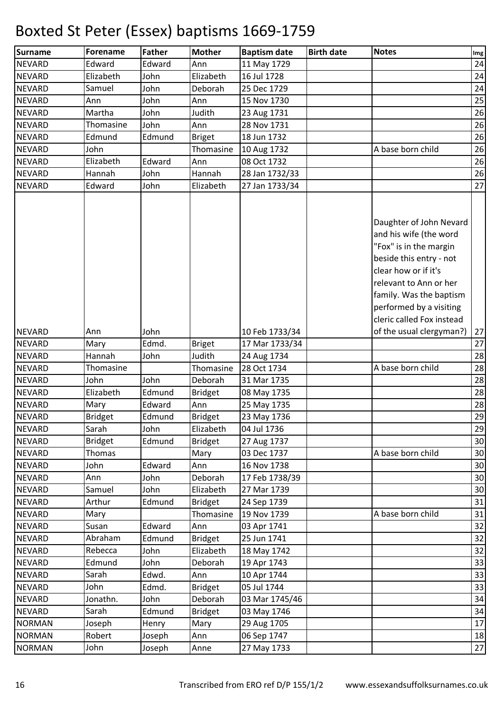| Surname       | <b>Forename</b> | <b>Father</b> | <b>Mother</b>  | <b>Baptism date</b> | <b>Birth date</b> | <b>Notes</b>                                                                                                                                                                                                   | Img |
|---------------|-----------------|---------------|----------------|---------------------|-------------------|----------------------------------------------------------------------------------------------------------------------------------------------------------------------------------------------------------------|-----|
| <b>NEVARD</b> | Edward          | Edward        | Ann            | 11 May 1729         |                   |                                                                                                                                                                                                                | 24  |
| <b>NEVARD</b> | Elizabeth       | John          | Elizabeth      | 16 Jul 1728         |                   |                                                                                                                                                                                                                | 24  |
| <b>NEVARD</b> | Samuel          | John          | Deborah        | 25 Dec 1729         |                   |                                                                                                                                                                                                                | 24  |
| <b>NEVARD</b> | Ann             | John          | Ann            | 15 Nov 1730         |                   |                                                                                                                                                                                                                | 25  |
| <b>NEVARD</b> | Martha          | John          | Judith         | 23 Aug 1731         |                   |                                                                                                                                                                                                                | 26  |
| <b>NEVARD</b> | Thomasine       | John          | Ann            | 28 Nov 1731         |                   |                                                                                                                                                                                                                | 26  |
| <b>NEVARD</b> | Edmund          | Edmund        | <b>Briget</b>  | 18 Jun 1732         |                   |                                                                                                                                                                                                                | 26  |
| <b>NEVARD</b> | John            |               | Thomasine      | 10 Aug 1732         |                   | A base born child                                                                                                                                                                                              | 26  |
| <b>NEVARD</b> | Elizabeth       | Edward        | Ann            | 08 Oct 1732         |                   |                                                                                                                                                                                                                | 26  |
| <b>NEVARD</b> | Hannah          | John          | Hannah         | 28 Jan 1732/33      |                   |                                                                                                                                                                                                                | 26  |
| <b>NEVARD</b> | Edward          | John          | Elizabeth      | 27 Jan 1733/34      |                   |                                                                                                                                                                                                                | 27  |
|               |                 |               |                |                     |                   | Daughter of John Nevard<br>and his wife (the word<br>"Fox" is in the margin<br>beside this entry - not<br>clear how or if it's<br>relevant to Ann or her<br>family. Was the baptism<br>performed by a visiting |     |
|               |                 |               |                |                     |                   | cleric called Fox instead                                                                                                                                                                                      |     |
| <b>NEVARD</b> | Ann             | John          |                | 10 Feb 1733/34      |                   | of the usual clergyman?)                                                                                                                                                                                       | 27  |
| <b>NEVARD</b> | Mary            | Edmd.         | <b>Briget</b>  | 17 Mar 1733/34      |                   |                                                                                                                                                                                                                | 27  |
| <b>NEVARD</b> | Hannah          | John          | Judith         | 24 Aug 1734         |                   |                                                                                                                                                                                                                | 28  |
| <b>NEVARD</b> | Thomasine       |               | Thomasine      | 28 Oct 1734         |                   | A base born child                                                                                                                                                                                              | 28  |
| <b>NEVARD</b> | John            | John          | Deborah        | 31 Mar 1735         |                   |                                                                                                                                                                                                                | 28  |
| <b>NEVARD</b> | Elizabeth       | Edmund        | <b>Bridget</b> | 08 May 1735         |                   |                                                                                                                                                                                                                | 28  |
| <b>NEVARD</b> | Mary            | Edward        | Ann            | 25 May 1735         |                   |                                                                                                                                                                                                                | 28  |
| <b>NEVARD</b> | <b>Bridget</b>  | Edmund        | <b>Bridget</b> | 23 May 1736         |                   |                                                                                                                                                                                                                | 29  |
| <b>NEVARD</b> | Sarah           | John          | Elizabeth      | 04 Jul 1736         |                   |                                                                                                                                                                                                                | 29  |
| <b>NEVARD</b> | <b>Bridget</b>  | Edmund        | <b>Bridget</b> | 27 Aug 1737         |                   |                                                                                                                                                                                                                | 30  |
| <b>NEVARD</b> | Thomas          |               | Mary           | 03 Dec 1737         |                   | A base born child                                                                                                                                                                                              | 30  |
| <b>NEVARD</b> | John            | Edward        | Ann            | 16 Nov 1738         |                   |                                                                                                                                                                                                                | 30  |
| <b>NEVARD</b> | Ann             | John          | Deborah        | 17 Feb 1738/39      |                   |                                                                                                                                                                                                                | 30  |
| <b>NEVARD</b> | Samuel          | John          | Elizabeth      | 27 Mar 1739         |                   |                                                                                                                                                                                                                | 30  |
| <b>NEVARD</b> | Arthur          | Edmund        | <b>Bridget</b> | 24 Sep 1739         |                   |                                                                                                                                                                                                                | 31  |
| <b>NEVARD</b> | Mary            |               | Thomasine      | 19 Nov 1739         |                   | A base born child                                                                                                                                                                                              | 31  |
| <b>NEVARD</b> | Susan           | Edward        | Ann            | 03 Apr 1741         |                   |                                                                                                                                                                                                                | 32  |
| <b>NEVARD</b> | Abraham         | Edmund        | <b>Bridget</b> | 25 Jun 1741         |                   |                                                                                                                                                                                                                | 32  |
| <b>NEVARD</b> | Rebecca         | John          | Elizabeth      | 18 May 1742         |                   |                                                                                                                                                                                                                | 32  |
| <b>NEVARD</b> | Edmund          | John          | Deborah        | 19 Apr 1743         |                   |                                                                                                                                                                                                                | 33  |
| <b>NEVARD</b> | Sarah           | Edwd.         | Ann            | 10 Apr 1744         |                   |                                                                                                                                                                                                                | 33  |
| <b>NEVARD</b> | John            | Edmd.         | <b>Bridget</b> | 05 Jul 1744         |                   |                                                                                                                                                                                                                | 33  |
| <b>NEVARD</b> | Jonathn.        | John          | Deborah        | 03 Mar 1745/46      |                   |                                                                                                                                                                                                                | 34  |
| <b>NEVARD</b> | Sarah           | Edmund        | <b>Bridget</b> | 03 May 1746         |                   |                                                                                                                                                                                                                | 34  |
| <b>NORMAN</b> | Joseph          | Henry         | Mary           | 29 Aug 1705         |                   |                                                                                                                                                                                                                | 17  |
| <b>NORMAN</b> | Robert          | Joseph        | Ann            | 06 Sep 1747         |                   |                                                                                                                                                                                                                | 18  |
| <b>NORMAN</b> | John            | Joseph        | Anne           | 27 May 1733         |                   |                                                                                                                                                                                                                | 27  |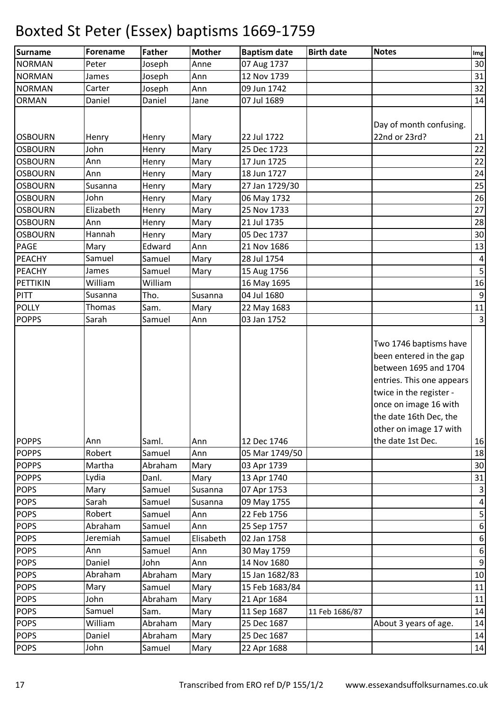| <b>Surname</b> | Forename  | <b>Father</b> | <b>Mother</b> | <b>Baptism date</b> | <b>Birth date</b> | <b>Notes</b>                                                                                                                                                                                                    | Img                     |
|----------------|-----------|---------------|---------------|---------------------|-------------------|-----------------------------------------------------------------------------------------------------------------------------------------------------------------------------------------------------------------|-------------------------|
| <b>NORMAN</b>  | Peter     | Joseph        | Anne          | 07 Aug 1737         |                   |                                                                                                                                                                                                                 | 30                      |
| <b>NORMAN</b>  | James     | Joseph        | Ann           | 12 Nov 1739         |                   |                                                                                                                                                                                                                 | 31                      |
| <b>NORMAN</b>  | Carter    | Joseph        | Ann           | 09 Jun 1742         |                   |                                                                                                                                                                                                                 | 32                      |
| <b>ORMAN</b>   | Daniel    | Daniel        | Jane          | 07 Jul 1689         |                   |                                                                                                                                                                                                                 | 14                      |
|                |           |               |               |                     |                   |                                                                                                                                                                                                                 |                         |
|                |           |               |               |                     |                   | Day of month confusing.                                                                                                                                                                                         |                         |
| <b>OSBOURN</b> | Henry     | Henry         | Mary          | 22 Jul 1722         |                   | 22nd or 23rd?                                                                                                                                                                                                   | 21                      |
| <b>OSBOURN</b> | John      | Henry         | Mary          | 25 Dec 1723         |                   |                                                                                                                                                                                                                 | 22                      |
| <b>OSBOURN</b> | Ann       | Henry         | Mary          | 17 Jun 1725         |                   |                                                                                                                                                                                                                 | 22                      |
| <b>OSBOURN</b> | Ann       | Henry         | Mary          | 18 Jun 1727         |                   |                                                                                                                                                                                                                 | 24                      |
| <b>OSBOURN</b> | Susanna   | Henry         | Mary          | 27 Jan 1729/30      |                   |                                                                                                                                                                                                                 | 25                      |
| <b>OSBOURN</b> | John      | Henry         | Mary          | 06 May 1732         |                   |                                                                                                                                                                                                                 | 26                      |
| <b>OSBOURN</b> | Elizabeth | Henry         | Mary          | 25 Nov 1733         |                   |                                                                                                                                                                                                                 | 27                      |
| <b>OSBOURN</b> | Ann       | Henry         | Mary          | 21 Jul 1735         |                   |                                                                                                                                                                                                                 | 28                      |
| <b>OSBOURN</b> | Hannah    | Henry         | Mary          | 05 Dec 1737         |                   |                                                                                                                                                                                                                 | 30                      |
| <b>PAGE</b>    | Mary      | Edward        | Ann           | 21 Nov 1686         |                   |                                                                                                                                                                                                                 | 13                      |
| PEACHY         | Samuel    | Samuel        | Mary          | 28 Jul 1754         |                   |                                                                                                                                                                                                                 | 4                       |
| <b>PEACHY</b>  | James     | Samuel        | Mary          | 15 Aug 1756         |                   |                                                                                                                                                                                                                 | 5 <sup>1</sup>          |
| PETTIKIN       | William   | William       |               | 16 May 1695         |                   |                                                                                                                                                                                                                 | 16                      |
| <b>PITT</b>    | Susanna   | Tho.          | Susanna       | 04 Jul 1680         |                   |                                                                                                                                                                                                                 | 9                       |
| <b>POLLY</b>   | Thomas    | Sam.          | Mary          | 22 May 1683         |                   |                                                                                                                                                                                                                 | 11                      |
| <b>POPPS</b>   | Sarah     | Samuel        | Ann           | 03 Jan 1752         |                   |                                                                                                                                                                                                                 | $\overline{\mathbf{3}}$ |
|                |           |               |               |                     |                   | Two 1746 baptisms have<br>been entered in the gap<br>between 1695 and 1704<br>entries. This one appears<br>twice in the register -<br>once on image 16 with<br>the date 16th Dec, the<br>other on image 17 with |                         |
| <b>POPPS</b>   | Ann       | Saml.         | Ann           | 12 Dec 1746         |                   | the date 1st Dec.                                                                                                                                                                                               | 16                      |
| <b>POPPS</b>   | Robert    | Samuel        | Ann           | 05 Mar 1749/50      |                   |                                                                                                                                                                                                                 | 18                      |
| <b>POPPS</b>   | Martha    | Abraham       | Mary          | 03 Apr 1739         |                   |                                                                                                                                                                                                                 | 30                      |
| <b>POPPS</b>   | Lydia     | Danl.         | Mary          | 13 Apr 1740         |                   |                                                                                                                                                                                                                 | 31                      |
| <b>POPS</b>    | Mary      | Samuel        | Susanna       | 07 Apr 1753         |                   |                                                                                                                                                                                                                 | 3 <sup>1</sup>          |
| <b>POPS</b>    | Sarah     | Samuel        | Susanna       | 09 May 1755         |                   |                                                                                                                                                                                                                 | $\vert 4 \vert$         |
| <b>POPS</b>    | Robert    | Samuel        | Ann           | 22 Feb 1756         |                   |                                                                                                                                                                                                                 | 5 <sup>1</sup>          |
| <b>POPS</b>    | Abraham   | Samuel        | Ann           | 25 Sep 1757         |                   |                                                                                                                                                                                                                 | 6                       |
| <b>POPS</b>    | Jeremiah  | Samuel        | Elisabeth     | 02 Jan 1758         |                   |                                                                                                                                                                                                                 | 6                       |
| <b>POPS</b>    | Ann       | Samuel        | Ann           | 30 May 1759         |                   |                                                                                                                                                                                                                 | $6 \mid$                |
| <b>POPS</b>    | Daniel    | John          | Ann           | 14 Nov 1680         |                   |                                                                                                                                                                                                                 | $\overline{9}$          |
| <b>POPS</b>    | Abraham   | Abraham       | Mary          | 15 Jan 1682/83      |                   |                                                                                                                                                                                                                 | 10                      |
| <b>POPS</b>    | Mary      | Samuel        | Mary          | 15 Feb 1683/84      |                   |                                                                                                                                                                                                                 | 11                      |
| <b>POPS</b>    | John      | Abraham       | Mary          | 21 Apr 1684         |                   |                                                                                                                                                                                                                 | 11                      |
| <b>POPS</b>    | Samuel    | Sam.          | Mary          | 11 Sep 1687         | 11 Feb 1686/87    |                                                                                                                                                                                                                 | 14                      |
| <b>POPS</b>    | William   | Abraham       | Mary          | 25 Dec 1687         |                   | About 3 years of age.                                                                                                                                                                                           | 14                      |
| <b>POPS</b>    | Daniel    | Abraham       | Mary          | 25 Dec 1687         |                   |                                                                                                                                                                                                                 | 14                      |
| <b>POPS</b>    | John      | Samuel        | Mary          | 22 Apr 1688         |                   |                                                                                                                                                                                                                 | 14                      |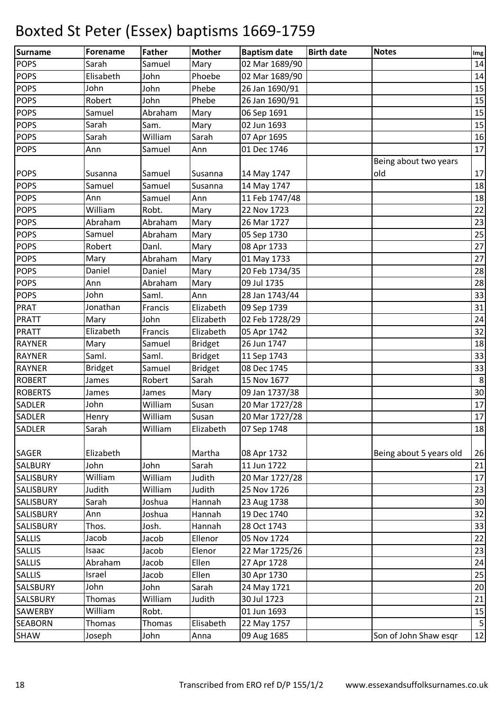| Surname          | <b>Forename</b> | <b>Father</b> | <b>Mother</b>  | <b>Baptism date</b> | <b>Birth date</b> | <b>Notes</b>            | Img            |
|------------------|-----------------|---------------|----------------|---------------------|-------------------|-------------------------|----------------|
| <b>POPS</b>      | Sarah           | Samuel        | Mary           | 02 Mar 1689/90      |                   |                         | 14             |
| <b>POPS</b>      | Elisabeth       | John          | Phoebe         | 02 Mar 1689/90      |                   |                         | 14             |
| <b>POPS</b>      | John            | John          | Phebe          | 26 Jan 1690/91      |                   |                         | 15             |
| <b>POPS</b>      | Robert          | John          | Phebe          | 26 Jan 1690/91      |                   |                         | 15             |
| <b>POPS</b>      | Samuel          | Abraham       | Mary           | 06 Sep 1691         |                   |                         | 15             |
| <b>POPS</b>      | Sarah           | Sam.          | Mary           | 02 Jun 1693         |                   |                         | 15             |
| <b>POPS</b>      | Sarah           | William       | Sarah          | 07 Apr 1695         |                   |                         | 16             |
| <b>POPS</b>      | Ann             | Samuel        | Ann            | 01 Dec 1746         |                   |                         | 17             |
|                  |                 |               |                |                     |                   | Being about two years   |                |
| <b>POPS</b>      | Susanna         | Samuel        | Susanna        | 14 May 1747         |                   | old                     | 17             |
| <b>POPS</b>      | Samuel          | Samuel        | Susanna        | 14 May 1747         |                   |                         | 18             |
| <b>POPS</b>      | Ann             | Samuel        | Ann            | 11 Feb 1747/48      |                   |                         | 18             |
| <b>POPS</b>      | William         | Robt.         | Mary           | 22 Nov 1723         |                   |                         | 22             |
| <b>POPS</b>      | Abraham         | Abraham       | Mary           | 26 Mar 1727         |                   |                         | 23             |
| <b>POPS</b>      | Samuel          | Abraham       | Mary           | 05 Sep 1730         |                   |                         | 25             |
| <b>POPS</b>      | Robert          | Danl.         | Mary           | 08 Apr 1733         |                   |                         | 27             |
| <b>POPS</b>      | Mary            | Abraham       | Mary           | 01 May 1733         |                   |                         | 27             |
| <b>POPS</b>      | Daniel          | Daniel        | Mary           | 20 Feb 1734/35      |                   |                         | 28             |
| <b>POPS</b>      | Ann             | Abraham       | Mary           | 09 Jul 1735         |                   |                         | 28             |
| <b>POPS</b>      | John            | Saml.         | Ann            | 28 Jan 1743/44      |                   |                         | 33             |
| <b>PRAT</b>      | Jonathan        | Francis       | Elizabeth      | 09 Sep 1739         |                   |                         | 31             |
| <b>PRATT</b>     | Mary            | John          | Elizabeth      | 02 Feb 1728/29      |                   |                         | 24             |
| PRATT            | Elizabeth       | Francis       | Elizabeth      | 05 Apr 1742         |                   |                         | 32             |
| <b>RAYNER</b>    | Mary            | Samuel        | <b>Bridget</b> | 26 Jun 1747         |                   |                         | 18             |
| <b>RAYNER</b>    | Saml.           | Saml.         | <b>Bridget</b> | 11 Sep 1743         |                   |                         | 33             |
| <b>RAYNER</b>    | <b>Bridget</b>  | Samuel        | <b>Bridget</b> | 08 Dec 1745         |                   |                         | 33             |
| <b>ROBERT</b>    | James           | Robert        | Sarah          | 15 Nov 1677         |                   |                         | $\,8\,$        |
| <b>ROBERTS</b>   | James           | James         | Mary           | 09 Jan 1737/38      |                   |                         | 30             |
| <b>SADLER</b>    | John            | William       | Susan          | 20 Mar 1727/28      |                   |                         | 17             |
| <b>SADLER</b>    | Henry           | William       | Susan          | 20 Mar 1727/28      |                   |                         | 17             |
| <b>SADLER</b>    | Sarah           | William       | Elizabeth      | 07 Sep 1748         |                   |                         | 18             |
|                  |                 |               |                |                     |                   |                         |                |
| <b>SAGER</b>     | Elizabeth       |               | Martha         | 08 Apr 1732         |                   | Being about 5 years old | 26             |
| <b>SALBURY</b>   | John            | John          | Sarah          | 11 Jun 1722         |                   |                         | 21             |
| SALISBURY        | William         | William       | Judith         | 20 Mar 1727/28      |                   |                         | 17             |
| <b>SALISBURY</b> | Judith          | William       | Judith         | 25 Nov 1726         |                   |                         | 23             |
| <b>SALISBURY</b> | Sarah           | Joshua        | Hannah         | 23 Aug 1738         |                   |                         | 30             |
| SALISBURY        | Ann             | Joshua        | Hannah         | 19 Dec 1740         |                   |                         | 32             |
| <b>SALISBURY</b> | Thos.           | Josh.         | Hannah         | 28 Oct 1743         |                   |                         | 33             |
| <b>SALLIS</b>    | Jacob           | Jacob         | Ellenor        | 05 Nov 1724         |                   |                         | 22             |
| <b>SALLIS</b>    | Isaac           | Jacob         | Elenor         | 22 Mar 1725/26      |                   |                         | 23             |
| <b>SALLIS</b>    | Abraham         | Jacob         | Ellen          | 27 Apr 1728         |                   |                         | 24             |
| <b>SALLIS</b>    | Israel          | Jacob         | Ellen          | 30 Apr 1730         |                   |                         | 25             |
| SALSBURY         | John            | John          | Sarah          | 24 May 1721         |                   |                         | 20             |
| <b>SALSBURY</b>  | Thomas          | William       | Judith         | 30 Jul 1723         |                   |                         | 21             |
| <b>SAWERBY</b>   | William         | Robt.         |                | 01 Jun 1693         |                   |                         | 15             |
| <b>SEABORN</b>   | Thomas          | Thomas        | Elisabeth      | 22 May 1757         |                   |                         | $\overline{5}$ |
| <b>SHAW</b>      | Joseph          | John          | Anna           | 09 Aug 1685         |                   | Son of John Shaw esqr   | 12             |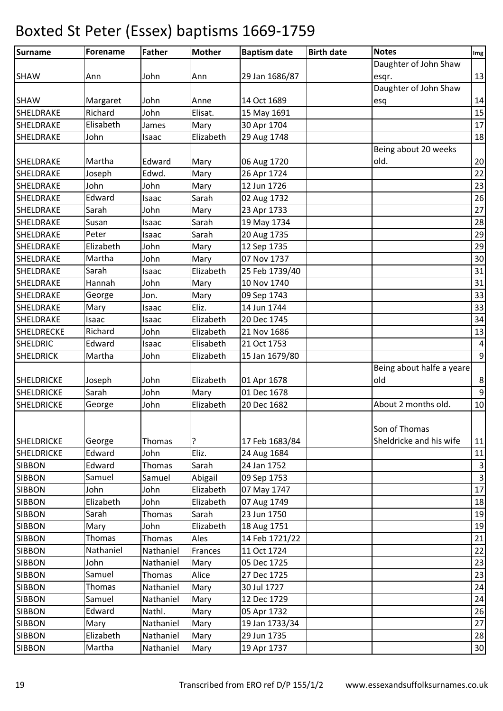| <b>Surname</b>    | <b>Forename</b> | <b>Father</b> | <b>Mother</b> | <b>Baptism date</b> | <b>Birth date</b> | <b>Notes</b>              | Img            |
|-------------------|-----------------|---------------|---------------|---------------------|-------------------|---------------------------|----------------|
|                   |                 |               |               |                     |                   | Daughter of John Shaw     |                |
| <b>SHAW</b>       | Ann             | John          | Ann           | 29 Jan 1686/87      |                   | esqr.                     | 13             |
|                   |                 |               |               |                     |                   | Daughter of John Shaw     |                |
| <b>SHAW</b>       | Margaret        | John          | Anne          | 14 Oct 1689         |                   | esq                       | 14             |
| SHELDRAKE         | Richard         | John          | Elisat.       | 15 May 1691         |                   |                           | 15             |
| SHELDRAKE         | Elisabeth       | James         | Mary          | 30 Apr 1704         |                   |                           | $17\,$         |
| SHELDRAKE         | John            | Isaac         | Elizabeth     | 29 Aug 1748         |                   |                           | 18             |
|                   |                 |               |               |                     |                   | Being about 20 weeks      |                |
| SHELDRAKE         | Martha          | Edward        | Mary          | 06 Aug 1720         |                   | old.                      | 20             |
| SHELDRAKE         | Joseph          | Edwd.         | Mary          | 26 Apr 1724         |                   |                           | 22             |
| SHELDRAKE         | John            | John          | Mary          | 12 Jun 1726         |                   |                           | 23             |
| SHELDRAKE         | Edward          | Isaac         | Sarah         | 02 Aug 1732         |                   |                           | 26             |
| SHELDRAKE         | Sarah           | John          | Mary          | 23 Apr 1733         |                   |                           | 27             |
| SHELDRAKE         | Susan           | Isaac         | Sarah         | 19 May 1734         |                   |                           | 28             |
| <b>SHELDRAKE</b>  | Peter           | Isaac         | Sarah         | 20 Aug 1735         |                   |                           | 29             |
| SHELDRAKE         | Elizabeth       | John          | Mary          | 12 Sep 1735         |                   |                           | 29             |
| SHELDRAKE         | Martha          | John          | Mary          | 07 Nov 1737         |                   |                           | 30             |
| SHELDRAKE         | Sarah           | Isaac         | Elizabeth     | 25 Feb 1739/40      |                   |                           | 31             |
| SHELDRAKE         | Hannah          | John          | Mary          | 10 Nov 1740         |                   |                           | 31             |
| SHELDRAKE         | George          | Jon.          | Mary          | 09 Sep 1743         |                   |                           | 33             |
| SHELDRAKE         | Mary            | Isaac         | Eliz.         | 14 Jun 1744         |                   |                           | 33             |
| SHELDRAKE         | Isaac           | Isaac         | Elizabeth     | 20 Dec 1745         |                   |                           | 34             |
| <b>SHELDRECKE</b> | Richard         | John          | Elizabeth     | 21 Nov 1686         |                   |                           | 13             |
| <b>SHELDRIC</b>   | Edward          | Isaac         | Elisabeth     | 21 Oct 1753         |                   |                           | $\overline{a}$ |
| <b>SHELDRICK</b>  | Martha          | John          | Elizabeth     | 15 Jan 1679/80      |                   |                           | $\overline{9}$ |
|                   |                 |               |               |                     |                   | Being about halfe a yeare |                |
| <b>SHELDRICKE</b> | Joseph          | John          | Elizabeth     | 01 Apr 1678         |                   | old                       | $\bf 8$        |
| <b>SHELDRICKE</b> | Sarah           | John          | Mary          | 01 Dec 1678         |                   |                           | $\overline{9}$ |
| <b>SHELDRICKE</b> | George          | John          | Elizabeth     | 20 Dec 1682         |                   | About 2 months old.       | 10             |
|                   |                 |               |               |                     |                   |                           |                |
|                   |                 |               |               |                     |                   | Son of Thomas             |                |
| <b>SHELDRICKE</b> | George          | Thomas        | ?             | 17 Feb 1683/84      |                   | Sheldricke and his wife   | 11             |
| <b>SHELDRICKE</b> | Edward          | John          | Eliz.         | 24 Aug 1684         |                   |                           | 11             |
| <b>SIBBON</b>     | Edward          | Thomas        | Sarah         | 24 Jan 1752         |                   |                           | $\mathbf{3}$   |
| <b>SIBBON</b>     | Samuel          | Samuel        | Abigail       | 09 Sep 1753         |                   |                           | $\overline{3}$ |
| <b>SIBBON</b>     | John            | John          | Elizabeth     | 07 May 1747         |                   |                           | 17             |
| <b>SIBBON</b>     | Elizabeth       | John          | Elizabeth     | 07 Aug 1749         |                   |                           | 18             |
| <b>SIBBON</b>     | Sarah           | Thomas        | Sarah         | 23 Jun 1750         |                   |                           | 19             |
| <b>SIBBON</b>     | Mary            | John          | Elizabeth     | 18 Aug 1751         |                   |                           | 19             |
| <b>SIBBON</b>     | Thomas          | Thomas        | Ales          | 14 Feb 1721/22      |                   |                           | 21             |
| <b>SIBBON</b>     | Nathaniel       | Nathaniel     | Frances       | 11 Oct 1724         |                   |                           | 22             |
| <b>SIBBON</b>     | John            | Nathaniel     | Mary          | 05 Dec 1725         |                   |                           | 23             |
| <b>SIBBON</b>     | Samuel          | Thomas        | Alice         | 27 Dec 1725         |                   |                           | 23             |
| <b>SIBBON</b>     | Thomas          | Nathaniel     | Mary          | 30 Jul 1727         |                   |                           | 24             |
| <b>SIBBON</b>     | Samuel          | Nathaniel     | Mary          | 12 Dec 1729         |                   |                           | 24             |
| <b>SIBBON</b>     | Edward          | Nathl.        | Mary          | 05 Apr 1732         |                   |                           | 26             |
| <b>SIBBON</b>     | Mary            | Nathaniel     | Mary          | 19 Jan 1733/34      |                   |                           | 27             |
| <b>SIBBON</b>     | Elizabeth       | Nathaniel     | Mary          | 29 Jun 1735         |                   |                           | 28             |
| <b>SIBBON</b>     | Martha          | Nathaniel     | Mary          | 19 Apr 1737         |                   |                           | 30             |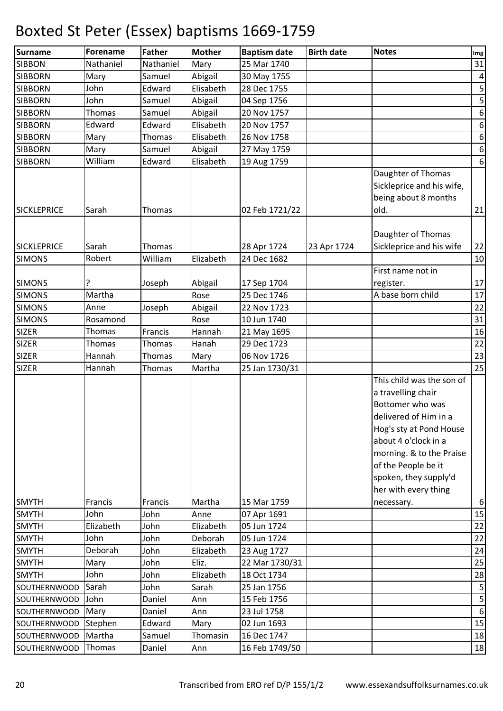| <b>Surname</b>                      | Forename        | <b>Father</b>     | <b>Mother</b> | <b>Baptism date</b>        | <b>Birth date</b> | <b>Notes</b>                                                                                                                                                                                                                                        | Img                     |
|-------------------------------------|-----------------|-------------------|---------------|----------------------------|-------------------|-----------------------------------------------------------------------------------------------------------------------------------------------------------------------------------------------------------------------------------------------------|-------------------------|
| <b>SIBBON</b>                       | Nathaniel       | Nathaniel         | Mary          | 25 Mar 1740                |                   |                                                                                                                                                                                                                                                     | 31                      |
| <b>SIBBORN</b>                      | Mary            | Samuel            | Abigail       | 30 May 1755                |                   |                                                                                                                                                                                                                                                     | $\pmb{4}$               |
| <b>SIBBORN</b>                      | John            | Edward            | Elisabeth     | 28 Dec 1755                |                   |                                                                                                                                                                                                                                                     | $\overline{\mathbf{5}}$ |
| <b>SIBBORN</b>                      | John            | Samuel            | Abigail       | 04 Sep 1756                |                   |                                                                                                                                                                                                                                                     | $\sf 5$                 |
| <b>SIBBORN</b>                      | Thomas          | Samuel            | Abigail       | 20 Nov 1757                |                   |                                                                                                                                                                                                                                                     | $\boldsymbol{6}$        |
| <b>SIBBORN</b>                      | Edward          | Edward            | Elisabeth     | 20 Nov 1757                |                   |                                                                                                                                                                                                                                                     | $\boldsymbol{6}$        |
| <b>SIBBORN</b>                      | Mary            | Thomas            | Elisabeth     | 26 Nov 1758                |                   |                                                                                                                                                                                                                                                     | $\boldsymbol{6}$        |
| <b>SIBBORN</b>                      | Mary            | Samuel            | Abigail       | 27 May 1759                |                   |                                                                                                                                                                                                                                                     | $\boldsymbol{6}$        |
| <b>SIBBORN</b>                      | William         | Edward            | Elisabeth     | 19 Aug 1759                |                   |                                                                                                                                                                                                                                                     | $\boldsymbol{6}$        |
| <b>SICKLEPRICE</b>                  | Sarah           | Thomas            |               | 02 Feb 1721/22             |                   | Daughter of Thomas<br>Sickleprice and his wife,<br>being about 8 months<br>old.                                                                                                                                                                     | 21                      |
| <b>SICKLEPRICE</b><br><b>SIMONS</b> | Sarah<br>Robert | Thomas<br>William | Elizabeth     | 28 Apr 1724<br>24 Dec 1682 | 23 Apr 1724       | Daughter of Thomas<br>Sickleprice and his wife                                                                                                                                                                                                      | 22<br>10                |
|                                     |                 |                   |               |                            |                   | First name not in                                                                                                                                                                                                                                   |                         |
| <b>SIMONS</b>                       |                 | Joseph            | Abigail       | 17 Sep 1704                |                   | register.                                                                                                                                                                                                                                           | 17                      |
| <b>SIMONS</b>                       | Martha          |                   | Rose          | 25 Dec 1746                |                   | A base born child                                                                                                                                                                                                                                   | 17                      |
| <b>SIMONS</b>                       | Anne            | Joseph            | Abigail       | 22 Nov 1723                |                   |                                                                                                                                                                                                                                                     | 22                      |
| <b>SIMONS</b>                       | Rosamond        |                   | Rose          | 10 Jun 1740                |                   |                                                                                                                                                                                                                                                     | 31                      |
| <b>SIZER</b>                        | Thomas          | Francis           | Hannah        | 21 May 1695                |                   |                                                                                                                                                                                                                                                     | 16                      |
| <b>SIZER</b>                        | Thomas          | Thomas            | Hanah         | 29 Dec 1723                |                   |                                                                                                                                                                                                                                                     | 22                      |
| <b>SIZER</b>                        | Hannah          | Thomas            | Mary          | 06 Nov 1726                |                   |                                                                                                                                                                                                                                                     | 23                      |
| <b>SIZER</b>                        | Hannah          | Thomas            | Martha        | 25 Jan 1730/31             |                   |                                                                                                                                                                                                                                                     | 25                      |
|                                     |                 |                   |               |                            |                   | This child was the son of<br>a travelling chair<br>Bottomer who was<br>delivered of Him in a<br>Hog's sty at Pond House<br>about 4 o'clock in a<br>morning. & to the Praise<br>of the People be it<br>spoken, they supply'd<br>her with every thing |                         |
| <b>SMYTH</b>                        | Francis         | Francis           | Martha        | 15 Mar 1759                |                   | necessary.                                                                                                                                                                                                                                          | 6                       |
| <b>SMYTH</b>                        | John            | John              | Anne          | 07 Apr 1691                |                   |                                                                                                                                                                                                                                                     | 15                      |
| <b>SMYTH</b>                        | Elizabeth       | John              | Elizabeth     | 05 Jun 1724                |                   |                                                                                                                                                                                                                                                     | 22                      |
| <b>SMYTH</b>                        | John            | John              | Deborah       | 05 Jun 1724                |                   |                                                                                                                                                                                                                                                     | 22                      |
| <b>SMYTH</b>                        | Deborah         | John              | Elizabeth     | 23 Aug 1727                |                   |                                                                                                                                                                                                                                                     | 24                      |
| <b>SMYTH</b>                        | Mary            | John              | Eliz.         | 22 Mar 1730/31             |                   |                                                                                                                                                                                                                                                     | 25                      |
| <b>SMYTH</b>                        | John            | John              | Elizabeth     | 18 Oct 1734                |                   |                                                                                                                                                                                                                                                     | 28                      |
| SOUTHERNWOOD                        | Sarah           | John              | Sarah         | 25 Jan 1756                |                   |                                                                                                                                                                                                                                                     | $\mathsf S$             |
| SOUTHERNWOOD                        | John            | Daniel            | Ann           | 15 Feb 1756                |                   |                                                                                                                                                                                                                                                     | $\mathsf S$             |
| SOUTHERNWOOD   Mary                 |                 | Daniel            | Ann           | 23 Jul 1758                |                   |                                                                                                                                                                                                                                                     | $\boldsymbol{6}$        |
| SOUTHERNWOOD                        | Stephen         | Edward            | Mary          | 02 Jun 1693                |                   |                                                                                                                                                                                                                                                     | 15                      |
| SOUTHERNWOOD                        | Martha          | Samuel            | Thomasin      | 16 Dec 1747                |                   |                                                                                                                                                                                                                                                     | 18                      |
| SOUTHERNWOOD                        | Thomas          | Daniel            | Ann           | 16 Feb 1749/50             |                   |                                                                                                                                                                                                                                                     | 18                      |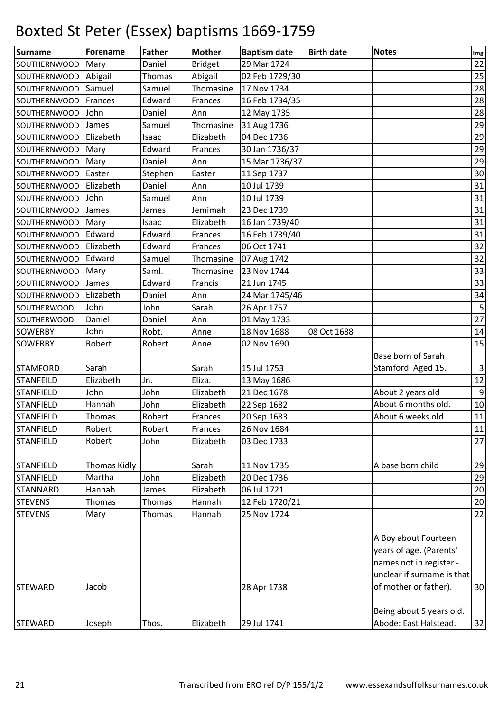| Surname             | Forename     | <b>Father</b> | <b>Mother</b>  | <b>Baptism date</b> | <b>Birth date</b> | <b>Notes</b>               | $\mathop{\textsf{Img}}$ |
|---------------------|--------------|---------------|----------------|---------------------|-------------------|----------------------------|-------------------------|
| SOUTHERNWOOD        | Mary         | Daniel        | <b>Bridget</b> | 29 Mar 1724         |                   |                            | 22                      |
| SOUTHERNWOOD        | Abigail      | Thomas        | Abigail        | 02 Feb 1729/30      |                   |                            | 25                      |
| <b>SOUTHERNWOOD</b> | Samuel       | Samuel        | Thomasine      | 17 Nov 1734         |                   |                            | 28                      |
| <b>SOUTHERNWOOD</b> | Frances      | Edward        | Frances        | 16 Feb 1734/35      |                   |                            | 28                      |
| SOUTHERNWOOD        | John         | Daniel        | Ann            | 12 May 1735         |                   |                            | 28                      |
| SOUTHERNWOOD        | James        | Samuel        | Thomasine      | 31 Aug 1736         |                   |                            | 29                      |
| SOUTHERNWOOD        | Elizabeth    | Isaac         | Elizabeth      | 04 Dec 1736         |                   |                            | 29                      |
| <b>SOUTHERNWOOD</b> | Mary         | Edward        | Frances        | 30 Jan 1736/37      |                   |                            | 29                      |
| SOUTHERNWOOD        | Mary         | Daniel        | Ann            | 15 Mar 1736/37      |                   |                            | 29                      |
| SOUTHERNWOOD        | Easter       | Stephen       | Easter         | 11 Sep 1737         |                   |                            | 30                      |
| SOUTHERNWOOD        | Elizabeth    | Daniel        | Ann            | 10 Jul 1739         |                   |                            | 31                      |
| SOUTHERNWOOD        | John         | Samuel        | Ann            | 10 Jul 1739         |                   |                            | 31                      |
| <b>SOUTHERNWOOD</b> | James        | James         | Jemimah        | 23 Dec 1739         |                   |                            | 31                      |
| SOUTHERNWOOD        | Mary         | Isaac         | Elizabeth      | 16 Jan 1739/40      |                   |                            | 31                      |
| SOUTHERNWOOD        | Edward       | Edward        | Frances        | 16 Feb 1739/40      |                   |                            | 31                      |
| SOUTHERNWOOD        | Elizabeth    | Edward        | Frances        | 06 Oct 1741         |                   |                            | 32                      |
| <b>SOUTHERNWOOD</b> | Edward       | Samuel        | Thomasine      | 07 Aug 1742         |                   |                            | 32                      |
| <b>SOUTHERNWOOD</b> | Mary         | Saml.         | Thomasine      | 23 Nov 1744         |                   |                            | 33                      |
| <b>SOUTHERNWOOD</b> | James        | Edward        | Francis        | 21 Jun 1745         |                   |                            | 33                      |
| SOUTHERNWOOD        | Elizabeth    | Daniel        | Ann            | 24 Mar 1745/46      |                   |                            | 34                      |
| SOUTHERWOOD         | John         | John          | Sarah          | 26 Apr 1757         |                   |                            | $\overline{\mathbf{5}}$ |
| <b>SOUTHERWOOD</b>  | Daniel       | Daniel        | Ann            | 01 May 1733         |                   |                            | 27                      |
| <b>SOWERBY</b>      | John         | Robt.         | Anne           | 18 Nov 1688         | 08 Oct 1688       |                            | 14                      |
| <b>SOWERBY</b>      | Robert       | Robert        | Anne           | 02 Nov 1690         |                   |                            | 15                      |
|                     |              |               |                |                     |                   | Base born of Sarah         |                         |
| <b>STAMFORD</b>     | Sarah        |               | Sarah          | 15 Jul 1753         |                   | Stamford. Aged 15.         | $\overline{3}$          |
| <b>STANFEILD</b>    | Elizabeth    | Jn.           | Eliza.         | 13 May 1686         |                   |                            | 12                      |
| <b>STANFIELD</b>    | John         | John          | Elizabeth      | 21 Dec 1678         |                   | About 2 years old          | $\boldsymbol{9}$        |
| <b>STANFIELD</b>    | Hannah       | John          | Elizabeth      | 22 Sep 1682         |                   | About 6 months old.        | 10                      |
| <b>STANFIELD</b>    | Thomas       | Robert        | Frances        | 20 Sep 1683         |                   | About 6 weeks old.         | 11                      |
| <b>STANFIELD</b>    | Robert       | Robert        | Frances        | 26 Nov 1684         |                   |                            | 11                      |
| <b>STANFIELD</b>    | Robert       | John          | Elizabeth      | 03 Dec 1733         |                   |                            | 27                      |
|                     |              |               |                |                     |                   |                            |                         |
| <b>STANFIELD</b>    | Thomas Kidly |               | Sarah          | 11 Nov 1735         |                   | A base born child          | 29                      |
| <b>STANFIELD</b>    | Martha       | John          | Elizabeth      | 20 Dec 1736         |                   |                            | 29                      |
| <b>STANNARD</b>     | Hannah       | James         | Elizabeth      | 06 Jul 1721         |                   |                            | 20                      |
| <b>STEVENS</b>      | Thomas       | Thomas        | Hannah         | 12 Feb 1720/21      |                   |                            | 20                      |
| <b>STEVENS</b>      | Mary         | Thomas        | Hannah         | 25 Nov 1724         |                   |                            | 22                      |
|                     |              |               |                |                     |                   |                            |                         |
|                     |              |               |                |                     |                   | A Boy about Fourteen       |                         |
|                     |              |               |                |                     |                   | years of age. (Parents'    |                         |
|                     |              |               |                |                     |                   | names not in register -    |                         |
|                     |              |               |                |                     |                   | unclear if surname is that |                         |
| <b>STEWARD</b>      | Jacob        |               |                | 28 Apr 1738         |                   | of mother or father).      | 30                      |
|                     |              |               |                |                     |                   |                            |                         |
|                     |              |               |                |                     |                   | Being about 5 years old.   |                         |
| <b>STEWARD</b>      | Joseph       | Thos.         | Elizabeth      | 29 Jul 1741         |                   | Abode: East Halstead.      | 32                      |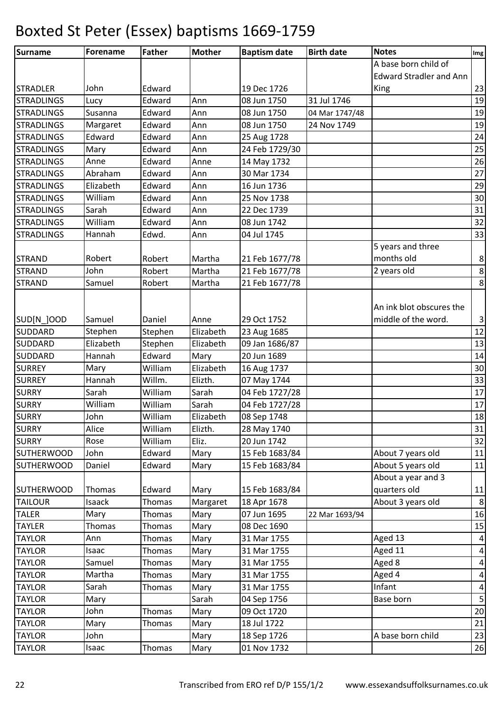| <b>Surname</b>    | <b>Forename</b> | <b>Father</b> | <b>Mother</b> | <b>Baptism date</b> | <b>Birth date</b> | <b>Notes</b>                   | Img              |
|-------------------|-----------------|---------------|---------------|---------------------|-------------------|--------------------------------|------------------|
|                   |                 |               |               |                     |                   | A base born child of           |                  |
|                   |                 |               |               |                     |                   | <b>Edward Stradler and Ann</b> |                  |
| <b>STRADLER</b>   | John            | Edward        |               | 19 Dec 1726         |                   | King                           | 23               |
| <b>STRADLINGS</b> | Lucy            | Edward        | Ann           | 08 Jun 1750         | 31 Jul 1746       |                                | 19               |
| <b>STRADLINGS</b> | Susanna         | Edward        | Ann           | 08 Jun 1750         | 04 Mar 1747/48    |                                | 19               |
| <b>STRADLINGS</b> | Margaret        | Edward        | Ann           | 08 Jun 1750         | 24 Nov 1749       |                                | 19               |
| <b>STRADLINGS</b> | Edward          | Edward        | Ann           | 25 Aug 1728         |                   |                                | 24               |
| <b>STRADLINGS</b> | Mary            | Edward        | Ann           | 24 Feb 1729/30      |                   |                                | 25               |
| <b>STRADLINGS</b> | Anne            | Edward        | Anne          | 14 May 1732         |                   |                                | 26               |
| <b>STRADLINGS</b> | Abraham         | Edward        | Ann           | 30 Mar 1734         |                   |                                | 27               |
| <b>STRADLINGS</b> | Elizabeth       | Edward        | Ann           | 16 Jun 1736         |                   |                                | 29               |
| <b>STRADLINGS</b> | William         | Edward        | Ann           | 25 Nov 1738         |                   |                                | 30               |
| <b>STRADLINGS</b> | Sarah           | Edward        | Ann           | 22 Dec 1739         |                   |                                | 31               |
| <b>STRADLINGS</b> | William         | Edward        | Ann           | 08 Jun 1742         |                   |                                | 32               |
| <b>STRADLINGS</b> | Hannah          | Edwd.         | Ann           | 04 Jul 1745         |                   |                                | 33               |
|                   |                 |               |               |                     |                   | 5 years and three              |                  |
| <b>STRAND</b>     | Robert          | Robert        | Martha        | 21 Feb 1677/78      |                   | months old                     | 8                |
| <b>STRAND</b>     | John            | Robert        | Martha        | 21 Feb 1677/78      |                   | 2 years old                    | $\boldsymbol{8}$ |
| <b>STRAND</b>     | Samuel          | Robert        | Martha        | 21 Feb 1677/78      |                   |                                | $\bf 8$          |
|                   |                 |               |               |                     |                   |                                |                  |
|                   |                 |               |               |                     |                   | An ink blot obscures the       |                  |
| SUD[N ]OOD        | Samuel          | Daniel        | Anne          | 29 Oct 1752         |                   | middle of the word.            | $\vert$ 3        |
| <b>SUDDARD</b>    | Stephen         | Stephen       | Elizabeth     | 23 Aug 1685         |                   |                                | 12               |
| <b>SUDDARD</b>    | Elizabeth       | Stephen       | Elizabeth     | 09 Jan 1686/87      |                   |                                | 13               |
| <b>SUDDARD</b>    | Hannah          | Edward        | Mary          | 20 Jun 1689         |                   |                                | 14               |
| <b>SURREY</b>     | Mary            | William       | Elizabeth     | 16 Aug 1737         |                   |                                | 30               |
| <b>SURREY</b>     | Hannah          | Willm.        | Elizth.       | 07 May 1744         |                   |                                | 33               |
| <b>SURRY</b>      | Sarah           | William       | Sarah         | 04 Feb 1727/28      |                   |                                | 17               |
| <b>SURRY</b>      | William         | William       | Sarah         | 04 Feb 1727/28      |                   |                                | 17               |
| <b>SURRY</b>      | John            | William       | Elizabeth     | 08 Sep 1748         |                   |                                | 18               |
| <b>SURRY</b>      | Alice           | William       | Elizth.       | 28 May 1740         |                   |                                | 31               |
| <b>SURRY</b>      | Rose            | William       | Eliz.         | 20 Jun 1742         |                   |                                | 32               |
| <b>SUTHERWOOD</b> | John            | Edward        | Mary          | 15 Feb 1683/84      |                   | About 7 years old              | 11               |
| <b>SUTHERWOOD</b> | Daniel          | Edward        | Mary          | 15 Feb 1683/84      |                   | About 5 years old              | 11               |
|                   |                 |               |               |                     |                   | About a year and 3             |                  |
| <b>SUTHERWOOD</b> | Thomas          | Edward        | Mary          | 15 Feb 1683/84      |                   | quarters old                   | 11               |
| <b>TAILOUR</b>    | Isaack          | Thomas        | Margaret      | 18 Apr 1678         |                   | About 3 years old              | 8                |
| <b>TALER</b>      | Mary            | Thomas        | Mary          | 07 Jun 1695         | 22 Mar 1693/94    |                                | 16               |
| <b>TAYLER</b>     | Thomas          | Thomas        | Mary          | 08 Dec 1690         |                   |                                | 15               |
| <b>TAYLOR</b>     | Ann             | Thomas        | Mary          | 31 Mar 1755         |                   | Aged 13                        | $\vert 4 \vert$  |
| <b>TAYLOR</b>     | Isaac           | Thomas        | Mary          | 31 Mar 1755         |                   | Aged 11                        | $\vert$          |
| <b>TAYLOR</b>     | Samuel          | Thomas        | Mary          | 31 Mar 1755         |                   | Aged 8                         | $\boldsymbol{4}$ |
| <b>TAYLOR</b>     | Martha          | Thomas        | Mary          | 31 Mar 1755         |                   | Aged 4                         | $\vert$          |
| <b>TAYLOR</b>     | Sarah           | Thomas        | Mary          | 31 Mar 1755         |                   | Infant                         | $\pmb{4}$        |
| <b>TAYLOR</b>     | Mary            |               | Sarah         | 04 Sep 1756         |                   | Base born                      | $\mathsf S$      |
| <b>TAYLOR</b>     | John            | Thomas        | Mary          | 09 Oct 1720         |                   |                                | 20               |
| <b>TAYLOR</b>     | Mary            | Thomas        | Mary          | 18 Jul 1722         |                   |                                | 21               |
| <b>TAYLOR</b>     | John            |               | Mary          | 18 Sep 1726         |                   | A base born child              | 23               |
| <b>TAYLOR</b>     | Isaac           | Thomas        | Mary          | 01 Nov 1732         |                   |                                | 26               |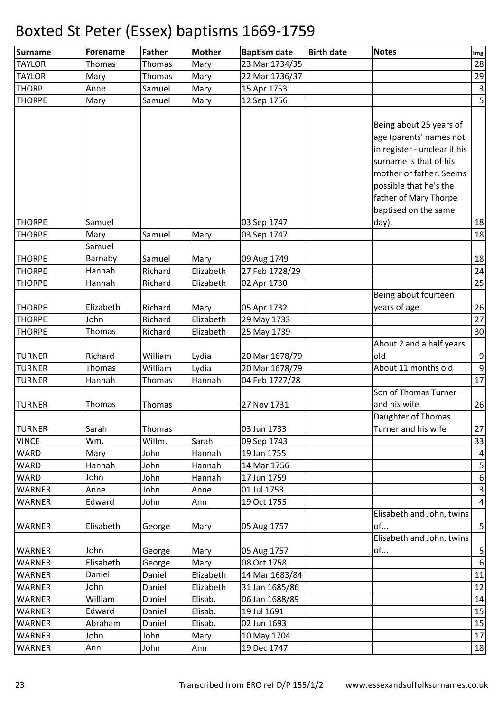| Thomas<br>23 Mar 1734/35<br>Thomas<br>Mary<br>29<br>Mary<br>Mary<br>22 Mar 1736/37<br>Thomas<br>15 Apr 1753<br>Anne<br>Samuel<br>Mary<br>12 Sep 1756<br>Mary<br>Samuel<br>Mary<br>Being about 25 years of<br>age (parents' names not<br>in register - unclear if his<br>surname is that of his<br>mother or father. Seems<br>possible that he's the<br>father of Mary Thorpe<br>baptised on the same<br>Samuel<br>03 Sep 1747<br>day).<br>Samuel<br>03 Sep 1747<br>Mary<br>Mary<br>Samuel<br>Barnaby<br>Samuel<br>Mary<br>09 Aug 1749<br>Hannah<br>Richard<br>Elizabeth<br>27 Feb 1728/29<br><b>THORPE</b><br>Hannah<br>Richard<br>Elizabeth<br>02 Apr 1730<br>Being about fourteen<br>Elizabeth<br><b>THORPE</b><br>Richard<br>Mary<br>05 Apr 1732<br>years of age<br><b>THORPE</b><br>John<br>Richard<br>Elizabeth<br>29 May 1733<br><b>THORPE</b><br>Thomas<br>Richard<br>Elizabeth<br>25 May 1739<br>About 2 and a half years<br>William<br><b>TURNER</b><br>Richard<br>Lydia<br>20 Mar 1678/79<br>old<br>About 11 months old<br>William<br><b>TURNER</b><br>Thomas<br>Lydia<br>20 Mar 1678/79<br>Hannah<br>04 Feb 1727/28<br><b>TURNER</b><br>Hannah<br>Thomas<br>Son of Thomas Turner<br>and his wife<br><b>TURNER</b><br>Thomas<br>27 Nov 1731<br>Thomas<br>Daughter of Thomas<br>Sarah<br>Turner and his wife<br><b>TURNER</b><br>Thomas<br>03 Jun 1733<br><b>VINCE</b><br>Wm.<br>Willm.<br>Sarah<br>09 Sep 1743<br><b>WARD</b><br>Mary<br>John<br>Hannah<br>19 Jan 1755<br>WARD<br>14 Mar 1756<br>Hannah<br>John<br>Hannah<br><b>WARD</b><br>John<br>17 Jun 1759<br>John<br>Hannah<br>WARNER<br>John<br>01 Jul 1753<br>Anne<br>Anne<br><b>WARNER</b><br>Edward<br>19 Oct 1755<br>John<br>Ann<br>Elisabeth and John, twins<br>Elisabeth<br>of<br><b>WARNER</b><br>05 Aug 1757<br>George<br>Mary<br>Elisabeth and John, twins<br>of<br>John<br><b>WARNER</b><br>Mary<br>05 Aug 1757<br>George<br>Elisabeth<br><b>WARNER</b><br>Mary<br>08 Oct 1758<br>George<br>Daniel<br>Elizabeth<br>14 Mar 1683/84<br><b>WARNER</b><br>Daniel<br>12<br><b>WARNER</b><br>Daniel<br>Elizabeth<br>31 Jan 1685/86<br>John<br><b>WARNER</b><br>William<br>Daniel<br>Elisab.<br>06 Jan 1688/89<br>Edward<br>Elisab.<br>19 Jul 1691<br>Daniel<br>Abraham<br>Daniel<br>Elisab.<br>02 Jun 1693<br>John<br>10 May 1704<br>John<br>Mary<br>19 Dec 1747<br>John<br>Ann<br>Ann | Surname       | Forename | <b>Father</b> | Mother | <b>Baptism date</b> | <b>Birth date</b> | <b>Notes</b> | Img       |
|-------------------------------------------------------------------------------------------------------------------------------------------------------------------------------------------------------------------------------------------------------------------------------------------------------------------------------------------------------------------------------------------------------------------------------------------------------------------------------------------------------------------------------------------------------------------------------------------------------------------------------------------------------------------------------------------------------------------------------------------------------------------------------------------------------------------------------------------------------------------------------------------------------------------------------------------------------------------------------------------------------------------------------------------------------------------------------------------------------------------------------------------------------------------------------------------------------------------------------------------------------------------------------------------------------------------------------------------------------------------------------------------------------------------------------------------------------------------------------------------------------------------------------------------------------------------------------------------------------------------------------------------------------------------------------------------------------------------------------------------------------------------------------------------------------------------------------------------------------------------------------------------------------------------------------------------------------------------------------------------------------------------------------------------------------------------------------------------------------------------------------------------------------------------------------------------------------------------------------------------------------------------------------------------------------------------------------------------------------------|---------------|----------|---------------|--------|---------------------|-------------------|--------------|-----------|
|                                                                                                                                                                                                                                                                                                                                                                                                                                                                                                                                                                                                                                                                                                                                                                                                                                                                                                                                                                                                                                                                                                                                                                                                                                                                                                                                                                                                                                                                                                                                                                                                                                                                                                                                                                                                                                                                                                                                                                                                                                                                                                                                                                                                                                                                                                                                                             | <b>TAYLOR</b> |          |               |        |                     |                   |              | 28        |
|                                                                                                                                                                                                                                                                                                                                                                                                                                                                                                                                                                                                                                                                                                                                                                                                                                                                                                                                                                                                                                                                                                                                                                                                                                                                                                                                                                                                                                                                                                                                                                                                                                                                                                                                                                                                                                                                                                                                                                                                                                                                                                                                                                                                                                                                                                                                                             | <b>TAYLOR</b> |          |               |        |                     |                   |              |           |
| $\overline{\mathbf{5}}$<br>18<br>18<br>18<br>24<br>25<br>26<br>27<br>30<br>9<br>9<br>17<br>26<br>27<br>33<br>$\vert$<br>$\overline{\mathbf{5}}$<br>6<br>$\overline{3}$<br>4<br>$\overline{5}$<br>$\overline{5}$<br>6<br>$11\,$<br>14<br>15<br>15<br>17<br>18                                                                                                                                                                                                                                                                                                                                                                                                                                                                                                                                                                                                                                                                                                                                                                                                                                                                                                                                                                                                                                                                                                                                                                                                                                                                                                                                                                                                                                                                                                                                                                                                                                                                                                                                                                                                                                                                                                                                                                                                                                                                                                | <b>THORP</b>  |          |               |        |                     |                   |              | $\vert$ 3 |
|                                                                                                                                                                                                                                                                                                                                                                                                                                                                                                                                                                                                                                                                                                                                                                                                                                                                                                                                                                                                                                                                                                                                                                                                                                                                                                                                                                                                                                                                                                                                                                                                                                                                                                                                                                                                                                                                                                                                                                                                                                                                                                                                                                                                                                                                                                                                                             | <b>THORPE</b> |          |               |        |                     |                   |              |           |
|                                                                                                                                                                                                                                                                                                                                                                                                                                                                                                                                                                                                                                                                                                                                                                                                                                                                                                                                                                                                                                                                                                                                                                                                                                                                                                                                                                                                                                                                                                                                                                                                                                                                                                                                                                                                                                                                                                                                                                                                                                                                                                                                                                                                                                                                                                                                                             |               |          |               |        |                     |                   |              |           |
|                                                                                                                                                                                                                                                                                                                                                                                                                                                                                                                                                                                                                                                                                                                                                                                                                                                                                                                                                                                                                                                                                                                                                                                                                                                                                                                                                                                                                                                                                                                                                                                                                                                                                                                                                                                                                                                                                                                                                                                                                                                                                                                                                                                                                                                                                                                                                             |               |          |               |        |                     |                   |              |           |
|                                                                                                                                                                                                                                                                                                                                                                                                                                                                                                                                                                                                                                                                                                                                                                                                                                                                                                                                                                                                                                                                                                                                                                                                                                                                                                                                                                                                                                                                                                                                                                                                                                                                                                                                                                                                                                                                                                                                                                                                                                                                                                                                                                                                                                                                                                                                                             |               |          |               |        |                     |                   |              |           |
|                                                                                                                                                                                                                                                                                                                                                                                                                                                                                                                                                                                                                                                                                                                                                                                                                                                                                                                                                                                                                                                                                                                                                                                                                                                                                                                                                                                                                                                                                                                                                                                                                                                                                                                                                                                                                                                                                                                                                                                                                                                                                                                                                                                                                                                                                                                                                             |               |          |               |        |                     |                   |              |           |
|                                                                                                                                                                                                                                                                                                                                                                                                                                                                                                                                                                                                                                                                                                                                                                                                                                                                                                                                                                                                                                                                                                                                                                                                                                                                                                                                                                                                                                                                                                                                                                                                                                                                                                                                                                                                                                                                                                                                                                                                                                                                                                                                                                                                                                                                                                                                                             |               |          |               |        |                     |                   |              |           |
|                                                                                                                                                                                                                                                                                                                                                                                                                                                                                                                                                                                                                                                                                                                                                                                                                                                                                                                                                                                                                                                                                                                                                                                                                                                                                                                                                                                                                                                                                                                                                                                                                                                                                                                                                                                                                                                                                                                                                                                                                                                                                                                                                                                                                                                                                                                                                             |               |          |               |        |                     |                   |              |           |
|                                                                                                                                                                                                                                                                                                                                                                                                                                                                                                                                                                                                                                                                                                                                                                                                                                                                                                                                                                                                                                                                                                                                                                                                                                                                                                                                                                                                                                                                                                                                                                                                                                                                                                                                                                                                                                                                                                                                                                                                                                                                                                                                                                                                                                                                                                                                                             |               |          |               |        |                     |                   |              |           |
|                                                                                                                                                                                                                                                                                                                                                                                                                                                                                                                                                                                                                                                                                                                                                                                                                                                                                                                                                                                                                                                                                                                                                                                                                                                                                                                                                                                                                                                                                                                                                                                                                                                                                                                                                                                                                                                                                                                                                                                                                                                                                                                                                                                                                                                                                                                                                             |               |          |               |        |                     |                   |              |           |
|                                                                                                                                                                                                                                                                                                                                                                                                                                                                                                                                                                                                                                                                                                                                                                                                                                                                                                                                                                                                                                                                                                                                                                                                                                                                                                                                                                                                                                                                                                                                                                                                                                                                                                                                                                                                                                                                                                                                                                                                                                                                                                                                                                                                                                                                                                                                                             |               |          |               |        |                     |                   |              |           |
|                                                                                                                                                                                                                                                                                                                                                                                                                                                                                                                                                                                                                                                                                                                                                                                                                                                                                                                                                                                                                                                                                                                                                                                                                                                                                                                                                                                                                                                                                                                                                                                                                                                                                                                                                                                                                                                                                                                                                                                                                                                                                                                                                                                                                                                                                                                                                             | <b>THORPE</b> |          |               |        |                     |                   |              |           |
|                                                                                                                                                                                                                                                                                                                                                                                                                                                                                                                                                                                                                                                                                                                                                                                                                                                                                                                                                                                                                                                                                                                                                                                                                                                                                                                                                                                                                                                                                                                                                                                                                                                                                                                                                                                                                                                                                                                                                                                                                                                                                                                                                                                                                                                                                                                                                             | <b>THORPE</b> |          |               |        |                     |                   |              |           |
|                                                                                                                                                                                                                                                                                                                                                                                                                                                                                                                                                                                                                                                                                                                                                                                                                                                                                                                                                                                                                                                                                                                                                                                                                                                                                                                                                                                                                                                                                                                                                                                                                                                                                                                                                                                                                                                                                                                                                                                                                                                                                                                                                                                                                                                                                                                                                             |               |          |               |        |                     |                   |              |           |
|                                                                                                                                                                                                                                                                                                                                                                                                                                                                                                                                                                                                                                                                                                                                                                                                                                                                                                                                                                                                                                                                                                                                                                                                                                                                                                                                                                                                                                                                                                                                                                                                                                                                                                                                                                                                                                                                                                                                                                                                                                                                                                                                                                                                                                                                                                                                                             | <b>THORPE</b> |          |               |        |                     |                   |              |           |
|                                                                                                                                                                                                                                                                                                                                                                                                                                                                                                                                                                                                                                                                                                                                                                                                                                                                                                                                                                                                                                                                                                                                                                                                                                                                                                                                                                                                                                                                                                                                                                                                                                                                                                                                                                                                                                                                                                                                                                                                                                                                                                                                                                                                                                                                                                                                                             | <b>THORPE</b> |          |               |        |                     |                   |              |           |
|                                                                                                                                                                                                                                                                                                                                                                                                                                                                                                                                                                                                                                                                                                                                                                                                                                                                                                                                                                                                                                                                                                                                                                                                                                                                                                                                                                                                                                                                                                                                                                                                                                                                                                                                                                                                                                                                                                                                                                                                                                                                                                                                                                                                                                                                                                                                                             |               |          |               |        |                     |                   |              |           |
|                                                                                                                                                                                                                                                                                                                                                                                                                                                                                                                                                                                                                                                                                                                                                                                                                                                                                                                                                                                                                                                                                                                                                                                                                                                                                                                                                                                                                                                                                                                                                                                                                                                                                                                                                                                                                                                                                                                                                                                                                                                                                                                                                                                                                                                                                                                                                             |               |          |               |        |                     |                   |              |           |
|                                                                                                                                                                                                                                                                                                                                                                                                                                                                                                                                                                                                                                                                                                                                                                                                                                                                                                                                                                                                                                                                                                                                                                                                                                                                                                                                                                                                                                                                                                                                                                                                                                                                                                                                                                                                                                                                                                                                                                                                                                                                                                                                                                                                                                                                                                                                                             |               |          |               |        |                     |                   |              |           |
|                                                                                                                                                                                                                                                                                                                                                                                                                                                                                                                                                                                                                                                                                                                                                                                                                                                                                                                                                                                                                                                                                                                                                                                                                                                                                                                                                                                                                                                                                                                                                                                                                                                                                                                                                                                                                                                                                                                                                                                                                                                                                                                                                                                                                                                                                                                                                             |               |          |               |        |                     |                   |              |           |
|                                                                                                                                                                                                                                                                                                                                                                                                                                                                                                                                                                                                                                                                                                                                                                                                                                                                                                                                                                                                                                                                                                                                                                                                                                                                                                                                                                                                                                                                                                                                                                                                                                                                                                                                                                                                                                                                                                                                                                                                                                                                                                                                                                                                                                                                                                                                                             |               |          |               |        |                     |                   |              |           |
|                                                                                                                                                                                                                                                                                                                                                                                                                                                                                                                                                                                                                                                                                                                                                                                                                                                                                                                                                                                                                                                                                                                                                                                                                                                                                                                                                                                                                                                                                                                                                                                                                                                                                                                                                                                                                                                                                                                                                                                                                                                                                                                                                                                                                                                                                                                                                             |               |          |               |        |                     |                   |              |           |
|                                                                                                                                                                                                                                                                                                                                                                                                                                                                                                                                                                                                                                                                                                                                                                                                                                                                                                                                                                                                                                                                                                                                                                                                                                                                                                                                                                                                                                                                                                                                                                                                                                                                                                                                                                                                                                                                                                                                                                                                                                                                                                                                                                                                                                                                                                                                                             |               |          |               |        |                     |                   |              |           |
|                                                                                                                                                                                                                                                                                                                                                                                                                                                                                                                                                                                                                                                                                                                                                                                                                                                                                                                                                                                                                                                                                                                                                                                                                                                                                                                                                                                                                                                                                                                                                                                                                                                                                                                                                                                                                                                                                                                                                                                                                                                                                                                                                                                                                                                                                                                                                             |               |          |               |        |                     |                   |              |           |
|                                                                                                                                                                                                                                                                                                                                                                                                                                                                                                                                                                                                                                                                                                                                                                                                                                                                                                                                                                                                                                                                                                                                                                                                                                                                                                                                                                                                                                                                                                                                                                                                                                                                                                                                                                                                                                                                                                                                                                                                                                                                                                                                                                                                                                                                                                                                                             |               |          |               |        |                     |                   |              |           |
|                                                                                                                                                                                                                                                                                                                                                                                                                                                                                                                                                                                                                                                                                                                                                                                                                                                                                                                                                                                                                                                                                                                                                                                                                                                                                                                                                                                                                                                                                                                                                                                                                                                                                                                                                                                                                                                                                                                                                                                                                                                                                                                                                                                                                                                                                                                                                             |               |          |               |        |                     |                   |              |           |
|                                                                                                                                                                                                                                                                                                                                                                                                                                                                                                                                                                                                                                                                                                                                                                                                                                                                                                                                                                                                                                                                                                                                                                                                                                                                                                                                                                                                                                                                                                                                                                                                                                                                                                                                                                                                                                                                                                                                                                                                                                                                                                                                                                                                                                                                                                                                                             |               |          |               |        |                     |                   |              |           |
|                                                                                                                                                                                                                                                                                                                                                                                                                                                                                                                                                                                                                                                                                                                                                                                                                                                                                                                                                                                                                                                                                                                                                                                                                                                                                                                                                                                                                                                                                                                                                                                                                                                                                                                                                                                                                                                                                                                                                                                                                                                                                                                                                                                                                                                                                                                                                             |               |          |               |        |                     |                   |              |           |
|                                                                                                                                                                                                                                                                                                                                                                                                                                                                                                                                                                                                                                                                                                                                                                                                                                                                                                                                                                                                                                                                                                                                                                                                                                                                                                                                                                                                                                                                                                                                                                                                                                                                                                                                                                                                                                                                                                                                                                                                                                                                                                                                                                                                                                                                                                                                                             |               |          |               |        |                     |                   |              |           |
|                                                                                                                                                                                                                                                                                                                                                                                                                                                                                                                                                                                                                                                                                                                                                                                                                                                                                                                                                                                                                                                                                                                                                                                                                                                                                                                                                                                                                                                                                                                                                                                                                                                                                                                                                                                                                                                                                                                                                                                                                                                                                                                                                                                                                                                                                                                                                             |               |          |               |        |                     |                   |              |           |
|                                                                                                                                                                                                                                                                                                                                                                                                                                                                                                                                                                                                                                                                                                                                                                                                                                                                                                                                                                                                                                                                                                                                                                                                                                                                                                                                                                                                                                                                                                                                                                                                                                                                                                                                                                                                                                                                                                                                                                                                                                                                                                                                                                                                                                                                                                                                                             |               |          |               |        |                     |                   |              |           |
|                                                                                                                                                                                                                                                                                                                                                                                                                                                                                                                                                                                                                                                                                                                                                                                                                                                                                                                                                                                                                                                                                                                                                                                                                                                                                                                                                                                                                                                                                                                                                                                                                                                                                                                                                                                                                                                                                                                                                                                                                                                                                                                                                                                                                                                                                                                                                             |               |          |               |        |                     |                   |              |           |
|                                                                                                                                                                                                                                                                                                                                                                                                                                                                                                                                                                                                                                                                                                                                                                                                                                                                                                                                                                                                                                                                                                                                                                                                                                                                                                                                                                                                                                                                                                                                                                                                                                                                                                                                                                                                                                                                                                                                                                                                                                                                                                                                                                                                                                                                                                                                                             |               |          |               |        |                     |                   |              |           |
|                                                                                                                                                                                                                                                                                                                                                                                                                                                                                                                                                                                                                                                                                                                                                                                                                                                                                                                                                                                                                                                                                                                                                                                                                                                                                                                                                                                                                                                                                                                                                                                                                                                                                                                                                                                                                                                                                                                                                                                                                                                                                                                                                                                                                                                                                                                                                             |               |          |               |        |                     |                   |              |           |
|                                                                                                                                                                                                                                                                                                                                                                                                                                                                                                                                                                                                                                                                                                                                                                                                                                                                                                                                                                                                                                                                                                                                                                                                                                                                                                                                                                                                                                                                                                                                                                                                                                                                                                                                                                                                                                                                                                                                                                                                                                                                                                                                                                                                                                                                                                                                                             |               |          |               |        |                     |                   |              |           |
|                                                                                                                                                                                                                                                                                                                                                                                                                                                                                                                                                                                                                                                                                                                                                                                                                                                                                                                                                                                                                                                                                                                                                                                                                                                                                                                                                                                                                                                                                                                                                                                                                                                                                                                                                                                                                                                                                                                                                                                                                                                                                                                                                                                                                                                                                                                                                             |               |          |               |        |                     |                   |              |           |
|                                                                                                                                                                                                                                                                                                                                                                                                                                                                                                                                                                                                                                                                                                                                                                                                                                                                                                                                                                                                                                                                                                                                                                                                                                                                                                                                                                                                                                                                                                                                                                                                                                                                                                                                                                                                                                                                                                                                                                                                                                                                                                                                                                                                                                                                                                                                                             |               |          |               |        |                     |                   |              |           |
|                                                                                                                                                                                                                                                                                                                                                                                                                                                                                                                                                                                                                                                                                                                                                                                                                                                                                                                                                                                                                                                                                                                                                                                                                                                                                                                                                                                                                                                                                                                                                                                                                                                                                                                                                                                                                                                                                                                                                                                                                                                                                                                                                                                                                                                                                                                                                             |               |          |               |        |                     |                   |              |           |
|                                                                                                                                                                                                                                                                                                                                                                                                                                                                                                                                                                                                                                                                                                                                                                                                                                                                                                                                                                                                                                                                                                                                                                                                                                                                                                                                                                                                                                                                                                                                                                                                                                                                                                                                                                                                                                                                                                                                                                                                                                                                                                                                                                                                                                                                                                                                                             |               |          |               |        |                     |                   |              |           |
|                                                                                                                                                                                                                                                                                                                                                                                                                                                                                                                                                                                                                                                                                                                                                                                                                                                                                                                                                                                                                                                                                                                                                                                                                                                                                                                                                                                                                                                                                                                                                                                                                                                                                                                                                                                                                                                                                                                                                                                                                                                                                                                                                                                                                                                                                                                                                             |               |          |               |        |                     |                   |              |           |
|                                                                                                                                                                                                                                                                                                                                                                                                                                                                                                                                                                                                                                                                                                                                                                                                                                                                                                                                                                                                                                                                                                                                                                                                                                                                                                                                                                                                                                                                                                                                                                                                                                                                                                                                                                                                                                                                                                                                                                                                                                                                                                                                                                                                                                                                                                                                                             |               |          |               |        |                     |                   |              |           |
|                                                                                                                                                                                                                                                                                                                                                                                                                                                                                                                                                                                                                                                                                                                                                                                                                                                                                                                                                                                                                                                                                                                                                                                                                                                                                                                                                                                                                                                                                                                                                                                                                                                                                                                                                                                                                                                                                                                                                                                                                                                                                                                                                                                                                                                                                                                                                             |               |          |               |        |                     |                   |              |           |
|                                                                                                                                                                                                                                                                                                                                                                                                                                                                                                                                                                                                                                                                                                                                                                                                                                                                                                                                                                                                                                                                                                                                                                                                                                                                                                                                                                                                                                                                                                                                                                                                                                                                                                                                                                                                                                                                                                                                                                                                                                                                                                                                                                                                                                                                                                                                                             | <b>WARNER</b> |          |               |        |                     |                   |              |           |
|                                                                                                                                                                                                                                                                                                                                                                                                                                                                                                                                                                                                                                                                                                                                                                                                                                                                                                                                                                                                                                                                                                                                                                                                                                                                                                                                                                                                                                                                                                                                                                                                                                                                                                                                                                                                                                                                                                                                                                                                                                                                                                                                                                                                                                                                                                                                                             | <b>WARNER</b> |          |               |        |                     |                   |              |           |
|                                                                                                                                                                                                                                                                                                                                                                                                                                                                                                                                                                                                                                                                                                                                                                                                                                                                                                                                                                                                                                                                                                                                                                                                                                                                                                                                                                                                                                                                                                                                                                                                                                                                                                                                                                                                                                                                                                                                                                                                                                                                                                                                                                                                                                                                                                                                                             | <b>WARNER</b> |          |               |        |                     |                   |              |           |
|                                                                                                                                                                                                                                                                                                                                                                                                                                                                                                                                                                                                                                                                                                                                                                                                                                                                                                                                                                                                                                                                                                                                                                                                                                                                                                                                                                                                                                                                                                                                                                                                                                                                                                                                                                                                                                                                                                                                                                                                                                                                                                                                                                                                                                                                                                                                                             | WARNER        |          |               |        |                     |                   |              |           |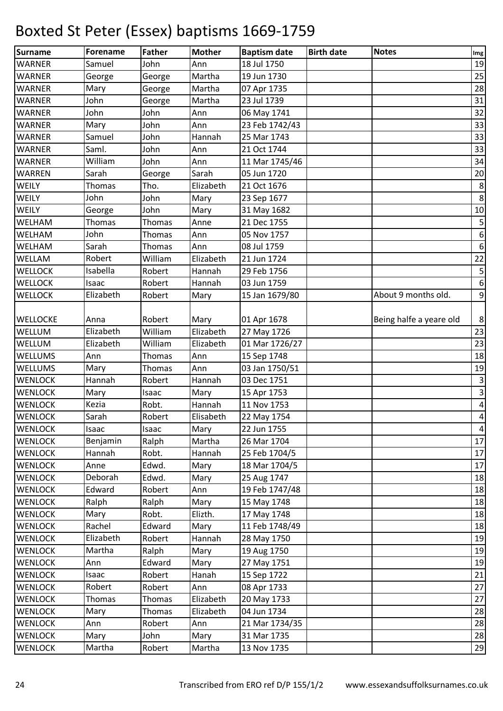| <b>Surname</b>  | Forename  | <b>Father</b> | <b>Mother</b> | <b>Baptism date</b> | <b>Birth date</b> | <b>Notes</b>            | $\mathop{\textsf{Img}}$ |
|-----------------|-----------|---------------|---------------|---------------------|-------------------|-------------------------|-------------------------|
| <b>WARNER</b>   | Samuel    | John          | Ann           | 18 Jul 1750         |                   |                         | 19                      |
| <b>WARNER</b>   | George    | George        | Martha        | 19 Jun 1730         |                   |                         | 25                      |
| <b>WARNER</b>   | Mary      | George        | Martha        | 07 Apr 1735         |                   |                         | 28                      |
| <b>WARNER</b>   | John      | George        | Martha        | 23 Jul 1739         |                   |                         | 31                      |
| <b>WARNER</b>   | John      | John          | Ann           | 06 May 1741         |                   |                         | 32                      |
| <b>WARNER</b>   | Mary      | John          | Ann           | 23 Feb 1742/43      |                   |                         | 33                      |
| <b>WARNER</b>   | Samuel    | John          | Hannah        | 25 Mar 1743         |                   |                         | 33                      |
| <b>WARNER</b>   | Saml.     | John          | Ann           | 21 Oct 1744         |                   |                         | 33                      |
| <b>WARNER</b>   | William   | John          | Ann           | 11 Mar 1745/46      |                   |                         | 34                      |
| <b>WARREN</b>   | Sarah     | George        | Sarah         | 05 Jun 1720         |                   |                         | 20                      |
| WEILY           | Thomas    | Tho.          | Elizabeth     | 21 Oct 1676         |                   |                         | $\bf 8$                 |
| WEILY           | John      | John          | Mary          | 23 Sep 1677         |                   |                         | $\,8\,$                 |
| WEILY           | George    | John          | Mary          | 31 May 1682         |                   |                         | 10                      |
| WELHAM          | Thomas    | Thomas        | Anne          | 21 Dec 1755         |                   |                         | $\mathsf S$             |
| WELHAM          | John      | Thomas        | Ann           | 05 Nov 1757         |                   |                         | $\boldsymbol{6}$        |
| WELHAM          | Sarah     | Thomas        | Ann           | 08 Jul 1759         |                   |                         | $\boldsymbol{6}$        |
| WELLAM          | Robert    | William       | Elizabeth     | 21 Jun 1724         |                   |                         | $22$                    |
| <b>WELLOCK</b>  | Isabella  | Robert        | Hannah        | 29 Feb 1756         |                   |                         | $\sf 5$                 |
| <b>WELLOCK</b>  | Isaac     | Robert        | Hannah        | 03 Jun 1759         |                   |                         | $\boldsymbol{6}$        |
| <b>WELLOCK</b>  | Elizabeth | Robert        | Mary          | 15 Jan 1679/80      |                   | About 9 months old.     | $\overline{9}$          |
|                 |           |               |               |                     |                   |                         |                         |
| <b>WELLOCKE</b> | Anna      | Robert        | Mary          | 01 Apr 1678         |                   | Being halfe a yeare old | $\bf 8$                 |
| WELLUM          | Elizabeth | William       | Elizabeth     | 27 May 1726         |                   |                         | 23                      |
| WELLUM          | Elizabeth | William       | Elizabeth     | 01 Mar 1726/27      |                   |                         | 23                      |
| <b>WELLUMS</b>  | Ann       | Thomas        | Ann           | 15 Sep 1748         |                   |                         | 18                      |
| <b>WELLUMS</b>  | Mary      | Thomas        | Ann           | 03 Jan 1750/51      |                   |                         | 19                      |
| <b>WENLOCK</b>  | Hannah    | Robert        | Hannah        | 03 Dec 1751         |                   |                         | $\mathsf 3$             |
| <b>WENLOCK</b>  | Mary      | Isaac         | Mary          | 15 Apr 1753         |                   |                         | $\overline{\mathbf{3}}$ |
| <b>WENLOCK</b>  | Kezia     | Robt.         | Hannah        | 11 Nov 1753         |                   |                         | $\pmb{4}$               |
| <b>WENLOCK</b>  | Sarah     | Robert        | Elisabeth     | 22 May 1754         |                   |                         | $\vert 4 \vert$         |
| <b>WENLOCK</b>  | Isaac     | Isaac         | Mary          | 22 Jun 1755         |                   |                         | $\vert 4 \vert$         |
| <b>WENLOCK</b>  | Benjamin  | Ralph         | Martha        | 26 Mar 1704         |                   |                         | 17                      |
| <b>WENLOCK</b>  | Hannah    | Robt.         | Hannah        | 25 Feb 1704/5       |                   |                         | 17                      |
| <b>WENLOCK</b>  | Anne      | Edwd.         | Mary          | 18 Mar 1704/5       |                   |                         | 17                      |
| <b>WENLOCK</b>  | Deborah   | Edwd.         | Mary          | 25 Aug 1747         |                   |                         | 18                      |
| <b>WENLOCK</b>  | Edward    | Robert        | Ann           | 19 Feb 1747/48      |                   |                         | 18                      |
| <b>WENLOCK</b>  | Ralph     | Ralph         | Mary          | 15 May 1748         |                   |                         | 18                      |
| <b>WENLOCK</b>  | Mary      | Robt.         | Elizth.       | 17 May 1748         |                   |                         | 18                      |
| <b>WENLOCK</b>  | Rachel    | Edward        | Mary          | 11 Feb 1748/49      |                   |                         | 18                      |
| <b>WENLOCK</b>  | Elizabeth | Robert        | Hannah        | 28 May 1750         |                   |                         | 19                      |
| <b>WENLOCK</b>  | Martha    | Ralph         | Mary          | 19 Aug 1750         |                   |                         | 19                      |
| <b>WENLOCK</b>  | Ann       | Edward        | Mary          | 27 May 1751         |                   |                         | 19                      |
| <b>WENLOCK</b>  | Isaac     | Robert        | Hanah         | 15 Sep 1722         |                   |                         | 21                      |
| <b>WENLOCK</b>  | Robert    | Robert        | Ann           | 08 Apr 1733         |                   |                         | 27                      |
| <b>WENLOCK</b>  | Thomas    | Thomas        | Elizabeth     | 20 May 1733         |                   |                         | 27                      |
| <b>WENLOCK</b>  | Mary      | Thomas        | Elizabeth     | 04 Jun 1734         |                   |                         | 28                      |
| <b>WENLOCK</b>  | Ann       | Robert        | Ann           | 21 Mar 1734/35      |                   |                         | 28                      |
| <b>WENLOCK</b>  | Mary      | John          | Mary          | 31 Mar 1735         |                   |                         | 28                      |
| <b>WENLOCK</b>  | Martha    | Robert        | Martha        | 13 Nov 1735         |                   |                         | 29                      |